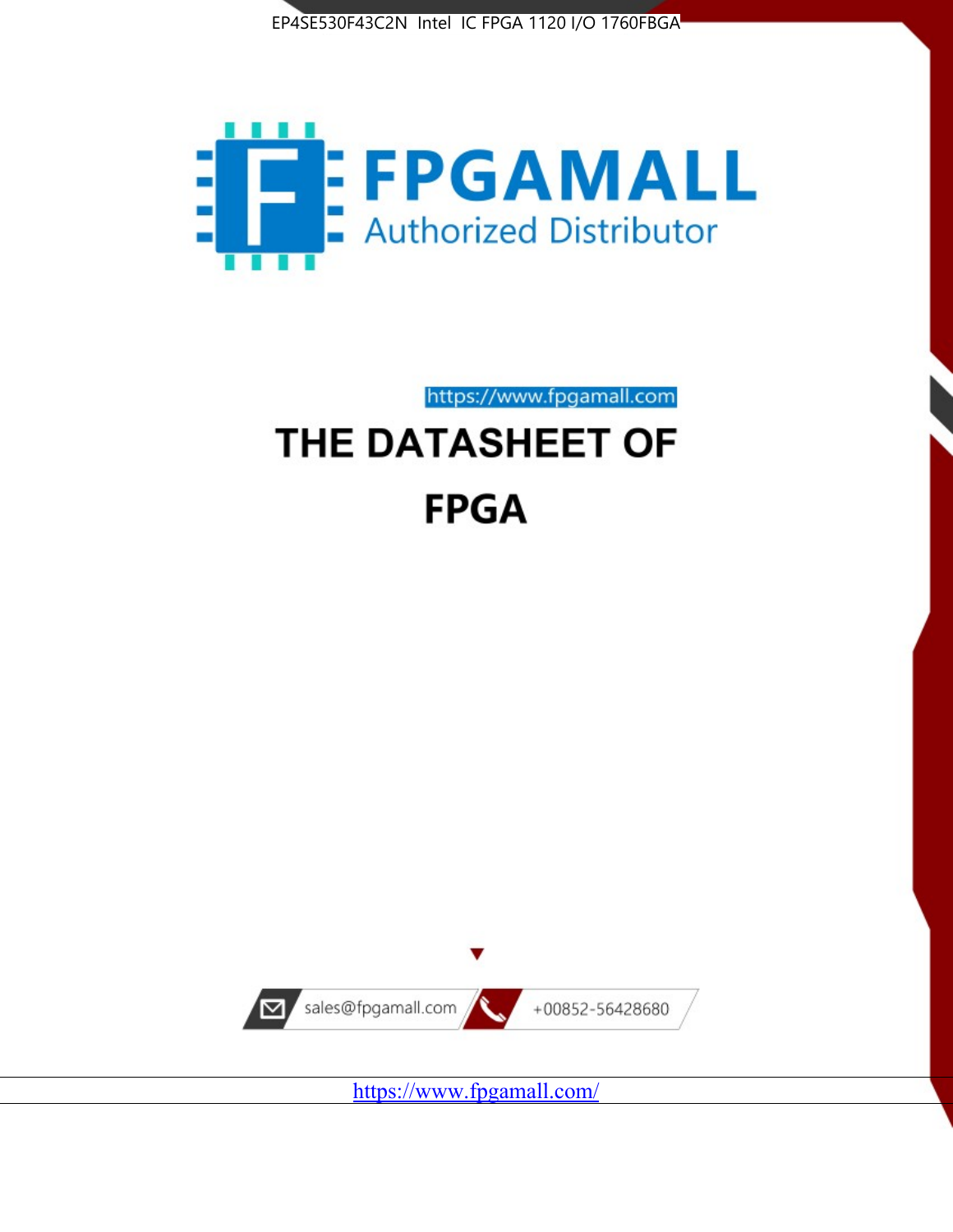



https://www.fpgamall.com

# THE DATASHEET OF **FPGA**



<https://www.fpgamall.com/>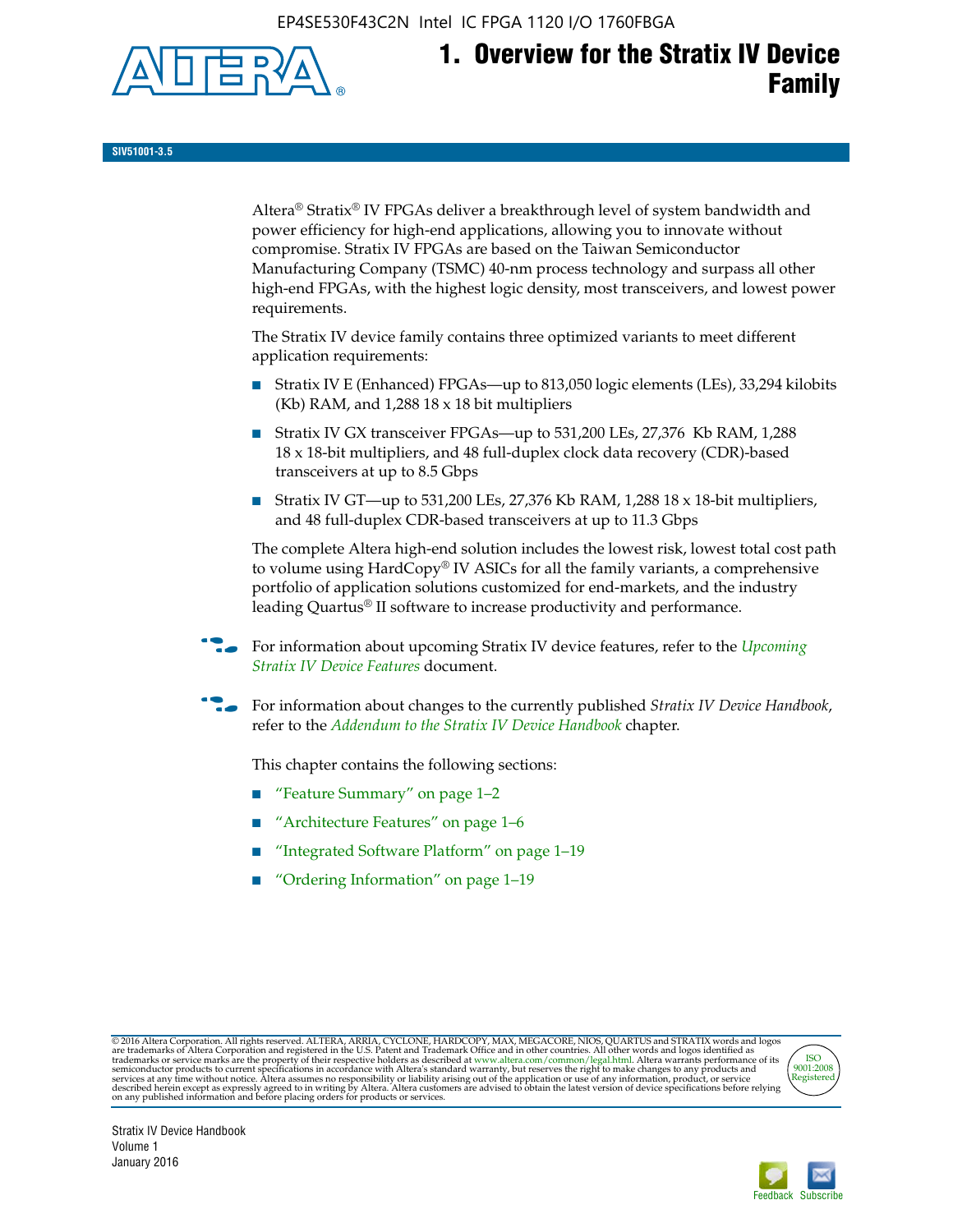EP4SE530F43C2N Intel IC FPGA 1120 I/O 1760FBGA



# **1. Overview for the Stratix IV Device Family**

**SIV51001-3.5**

Altera® Stratix® IV FPGAs deliver a breakthrough level of system bandwidth and power efficiency for high-end applications, allowing you to innovate without compromise. Stratix IV FPGAs are based on the Taiwan Semiconductor Manufacturing Company (TSMC) 40-nm process technology and surpass all other high-end FPGAs, with the highest logic density, most transceivers, and lowest power requirements.

The Stratix IV device family contains three optimized variants to meet different application requirements:

- Stratix IV E (Enhanced) FPGAs—up to 813,050 logic elements (LEs), 33,294 kilobits (Kb) RAM, and 1,288 18 x 18 bit multipliers
- Stratix IV GX transceiver FPGAs—up to 531,200 LEs, 27,376 Kb RAM, 1,288 18 x 18-bit multipliers, and 48 full-duplex clock data recovery (CDR)-based transceivers at up to 8.5 Gbps
- Stratix IV GT—up to 531,200 LEs, 27,376 Kb RAM, 1,288 18 x 18-bit multipliers, and 48 full-duplex CDR-based transceivers at up to 11.3 Gbps

The complete Altera high-end solution includes the lowest risk, lowest total cost path to volume using HardCopy® IV ASICs for all the family variants, a comprehensive portfolio of application solutions customized for end-markets, and the industry leading Quartus® II software to increase productivity and performance.

For information about upcoming Stratix IV device features, refer to the *Upcoming [Stratix IV Device Features](http://www.altera.com/literature/hb/stratix-iv/uf01001.pdf?GSA_pos=2&WT.oss_r=1&WT.oss=upcoming)* document.

f For information about changes to the currently published *Stratix IV Device Handbook*, refer to the *[Addendum to the Stratix IV Device Handbook](http://www.altera.com/literature/hb/stratix-iv/stx4_siv54002.pdf)* chapter.

This chapter contains the following sections:

- "Feature Summary" on page 1–2
- "Architecture Features" on page 1–6
- "Integrated Software Platform" on page 1–19
- "Ordering Information" on page 1–19

@2016 Altera Corporation. All rights reserved. ALTERA, ARRIA, CYCLONE, HARDCOPY, MAX, MEGACORE, NIOS, QUARTUS and STRATIX words and logos are trademarks of Altera Corporation and registered in the U.S. Patent and Trademark



Stratix IV Device Handbook Volume 1 January 2016

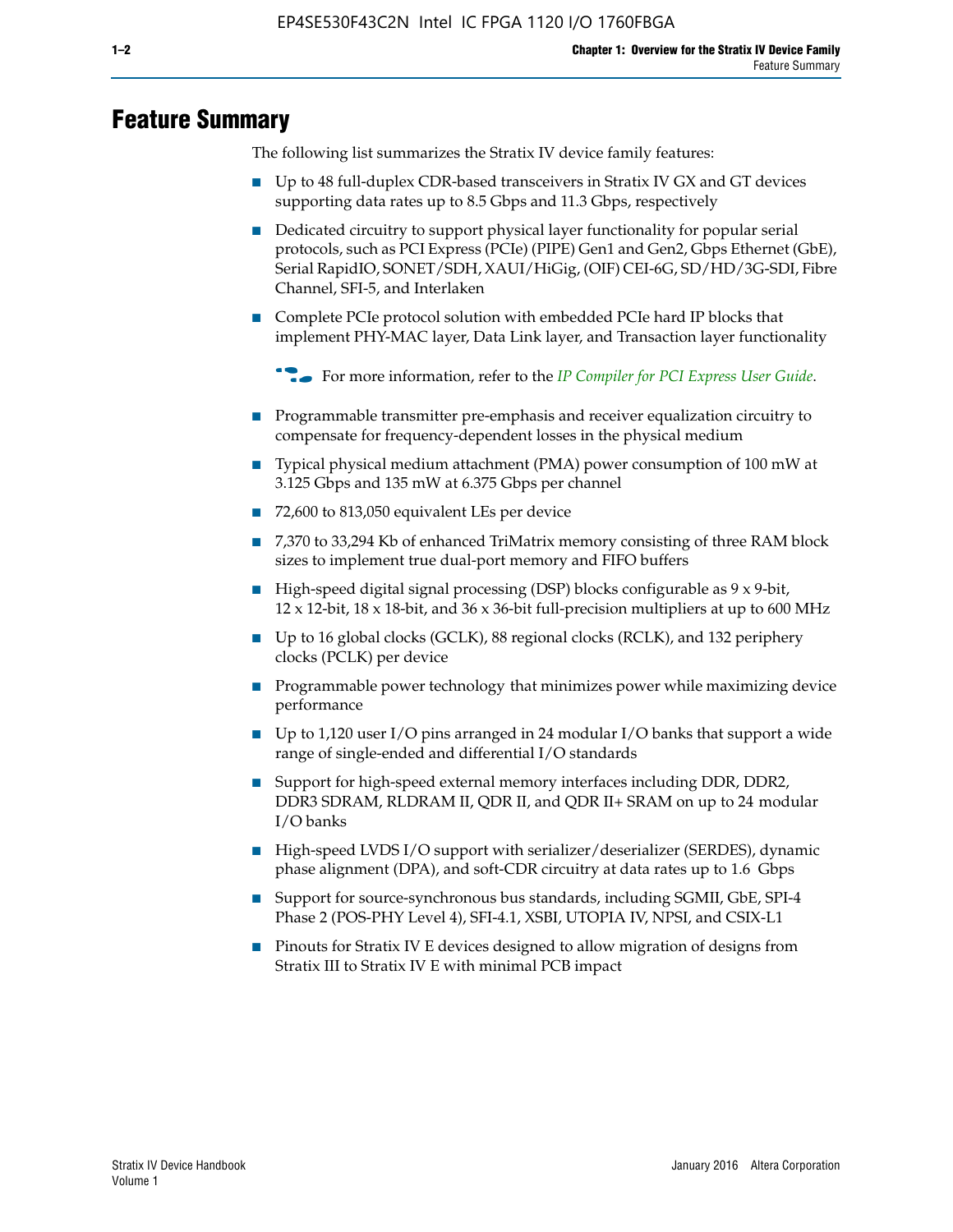# **Feature Summary**

The following list summarizes the Stratix IV device family features:

- Up to 48 full-duplex CDR-based transceivers in Stratix IV GX and GT devices supporting data rates up to 8.5 Gbps and 11.3 Gbps, respectively
- Dedicated circuitry to support physical layer functionality for popular serial protocols, such as PCI Express (PCIe) (PIPE) Gen1 and Gen2, Gbps Ethernet (GbE), Serial RapidIO, SONET/SDH, XAUI/HiGig, (OIF) CEI-6G, SD/HD/3G-SDI, Fibre Channel, SFI-5, and Interlaken
- Complete PCIe protocol solution with embedded PCIe hard IP blocks that implement PHY-MAC layer, Data Link layer, and Transaction layer functionality

**For more information, refer to the** *[IP Compiler for PCI Express User Guide](http://www.altera.com/literature/ug/ug_pci_express.pdf)***.** 

- Programmable transmitter pre-emphasis and receiver equalization circuitry to compensate for frequency-dependent losses in the physical medium
- Typical physical medium attachment (PMA) power consumption of 100 mW at 3.125 Gbps and 135 mW at 6.375 Gbps per channel
- 72,600 to 813,050 equivalent LEs per device
- 7,370 to 33,294 Kb of enhanced TriMatrix memory consisting of three RAM block sizes to implement true dual-port memory and FIFO buffers
- High-speed digital signal processing (DSP) blocks configurable as 9 x 9-bit,  $12 \times 12$ -bit,  $18 \times 18$ -bit, and  $36 \times 36$ -bit full-precision multipliers at up to 600 MHz
- Up to 16 global clocks (GCLK), 88 regional clocks (RCLK), and 132 periphery clocks (PCLK) per device
- Programmable power technology that minimizes power while maximizing device performance
- Up to 1,120 user I/O pins arranged in 24 modular I/O banks that support a wide range of single-ended and differential I/O standards
- Support for high-speed external memory interfaces including DDR, DDR2, DDR3 SDRAM, RLDRAM II, QDR II, and QDR II+ SRAM on up to 24 modular I/O banks
- High-speed LVDS I/O support with serializer/deserializer (SERDES), dynamic phase alignment (DPA), and soft-CDR circuitry at data rates up to 1.6 Gbps
- Support for source-synchronous bus standards, including SGMII, GbE, SPI-4 Phase 2 (POS-PHY Level 4), SFI-4.1, XSBI, UTOPIA IV, NPSI, and CSIX-L1
- Pinouts for Stratix IV E devices designed to allow migration of designs from Stratix III to Stratix IV E with minimal PCB impact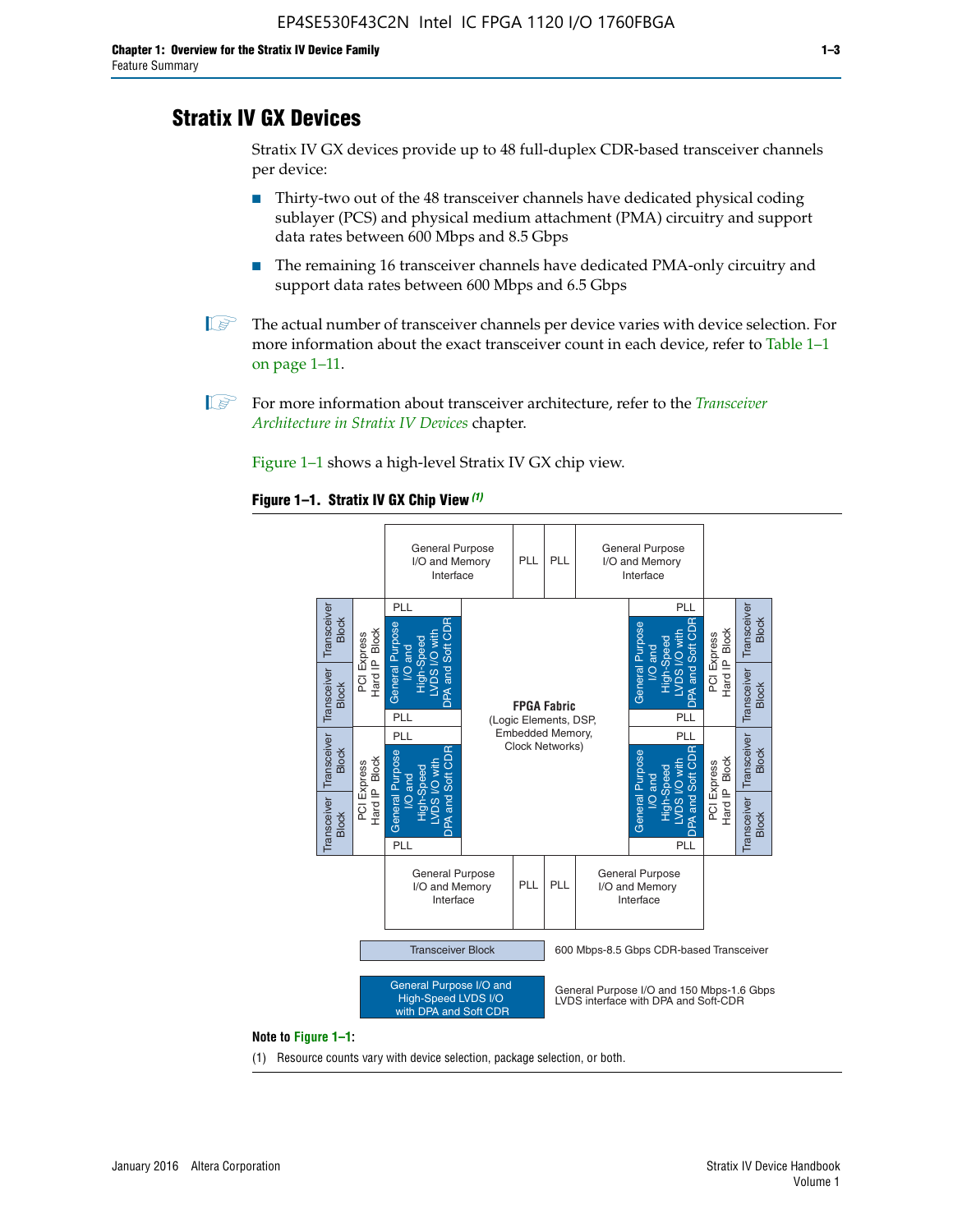# **Stratix IV GX Devices**

Stratix IV GX devices provide up to 48 full-duplex CDR-based transceiver channels per device:

- Thirty-two out of the 48 transceiver channels have dedicated physical coding sublayer (PCS) and physical medium attachment (PMA) circuitry and support data rates between 600 Mbps and 8.5 Gbps
- The remaining 16 transceiver channels have dedicated PMA-only circuitry and support data rates between 600 Mbps and 6.5 Gbps
- **1 The actual number of transceiver channels per device varies with device selection. For** more information about the exact transceiver count in each device, refer to Table 1–1 on page 1–11.
- 1 For more information about transceiver architecture, refer to the *[Transceiver](http://www.altera.com/literature/hb/stratix-iv/stx4_siv52001.pdf)  [Architecture in Stratix IV Devices](http://www.altera.com/literature/hb/stratix-iv/stx4_siv52001.pdf)* chapter.

Figure 1–1 shows a high-level Stratix IV GX chip view.

#### **Figure 1–1. Stratix IV GX Chip View** *(1)*



#### **Note to Figure 1–1:**

(1) Resource counts vary with device selection, package selection, or both.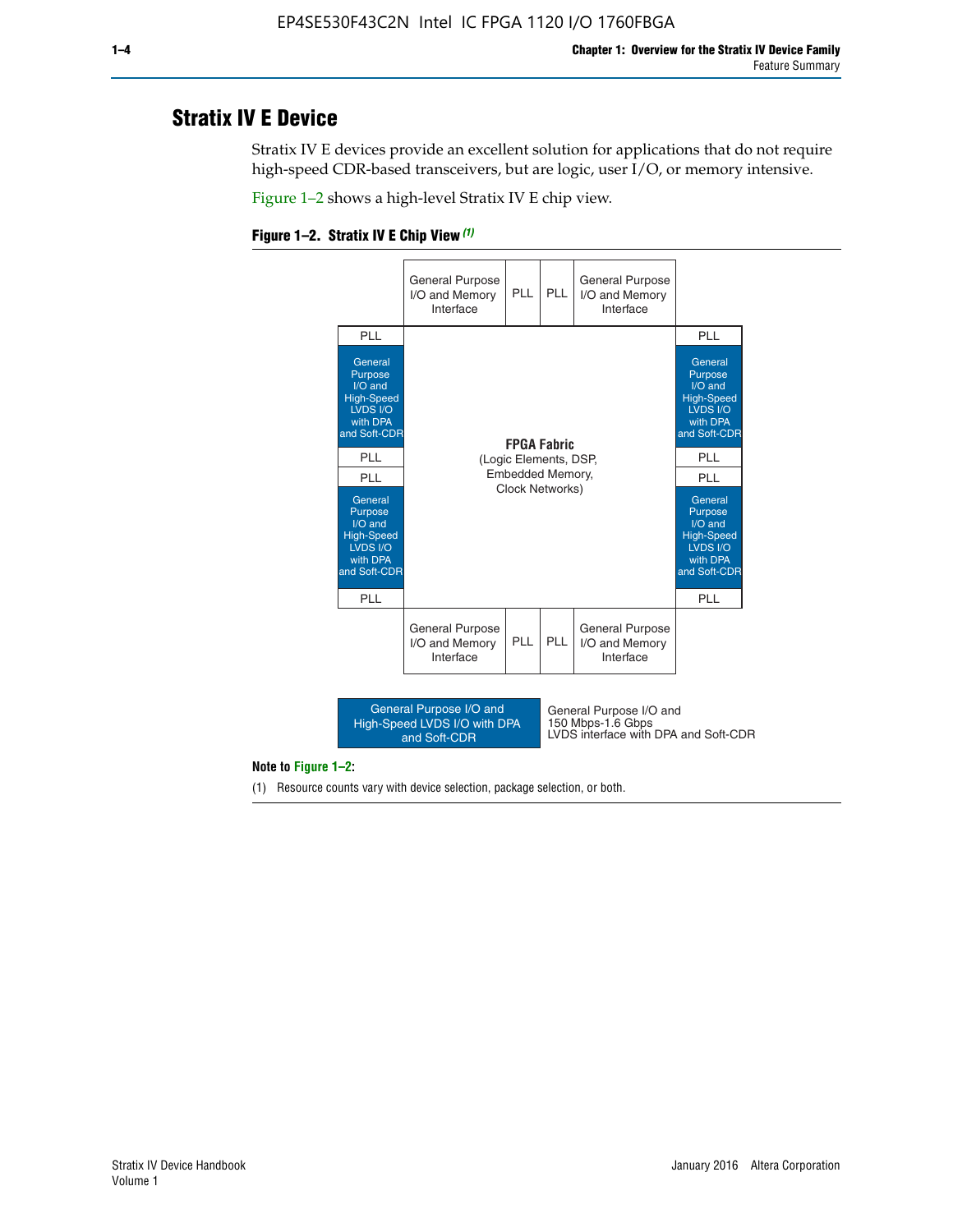# **Stratix IV E Device**

Stratix IV E devices provide an excellent solution for applications that do not require high-speed CDR-based transceivers, but are logic, user I/O, or memory intensive.

Figure 1–2 shows a high-level Stratix IV E chip view.

#### **Figure 1–2. Stratix IV E Chip View** *(1)*



#### **Note to Figure 1–2:**

(1) Resource counts vary with device selection, package selection, or both.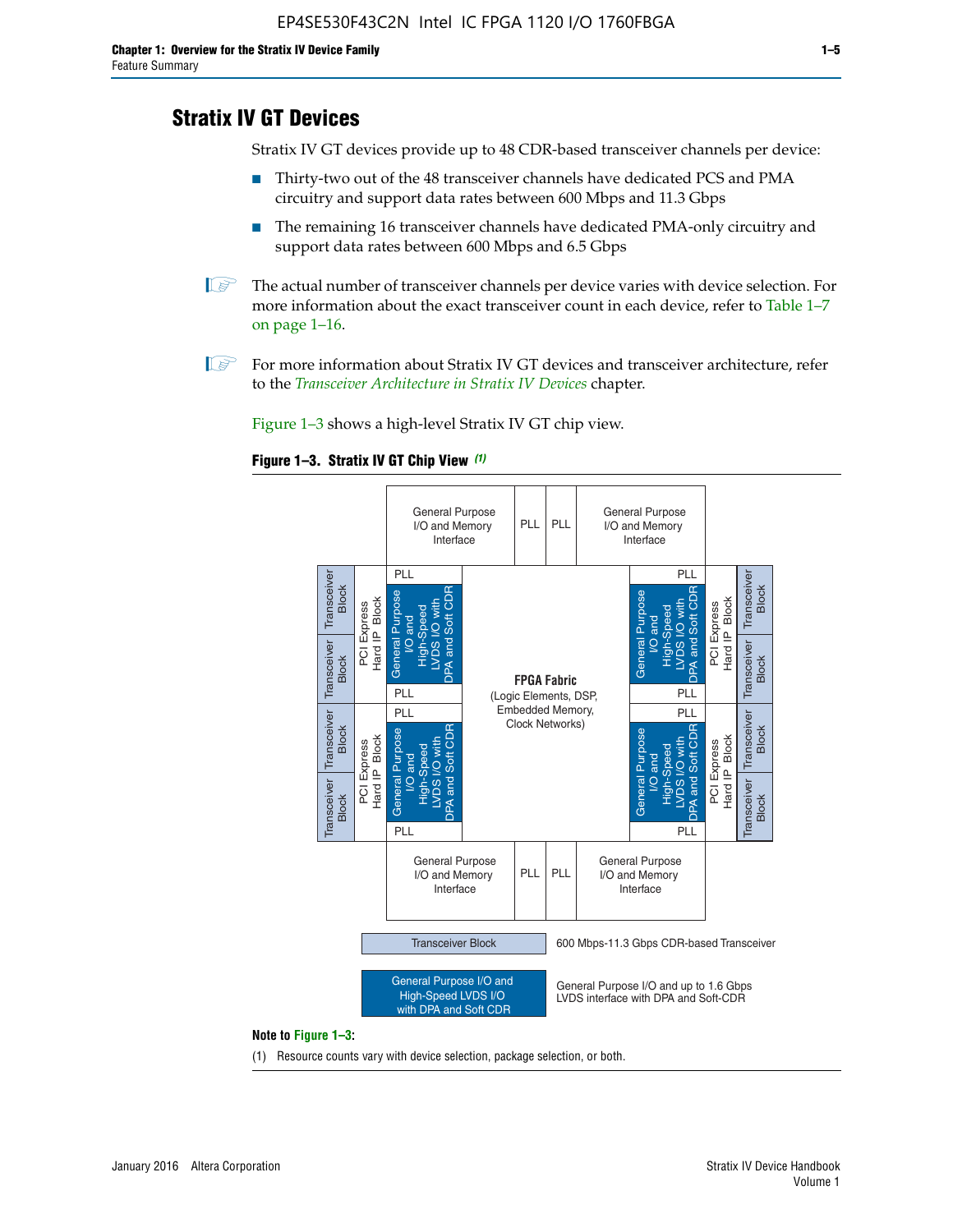# **Stratix IV GT Devices**

Stratix IV GT devices provide up to 48 CDR-based transceiver channels per device:

- Thirty-two out of the 48 transceiver channels have dedicated PCS and PMA circuitry and support data rates between 600 Mbps and 11.3 Gbps
- The remaining 16 transceiver channels have dedicated PMA-only circuitry and support data rates between 600 Mbps and 6.5 Gbps
- **1** The actual number of transceiver channels per device varies with device selection. For more information about the exact transceiver count in each device, refer to Table 1–7 on page 1–16.
- $\mathbb{I}$  For more information about Stratix IV GT devices and transceiver architecture, refer to the *[Transceiver Architecture in Stratix IV Devices](http://www.altera.com/literature/hb/stratix-iv/stx4_siv52001.pdf)* chapter.

Figure 1–3 shows a high-level Stratix IV GT chip view.

#### **Figure 1–3. Stratix IV GT Chip View** *(1)*



(1) Resource counts vary with device selection, package selection, or both.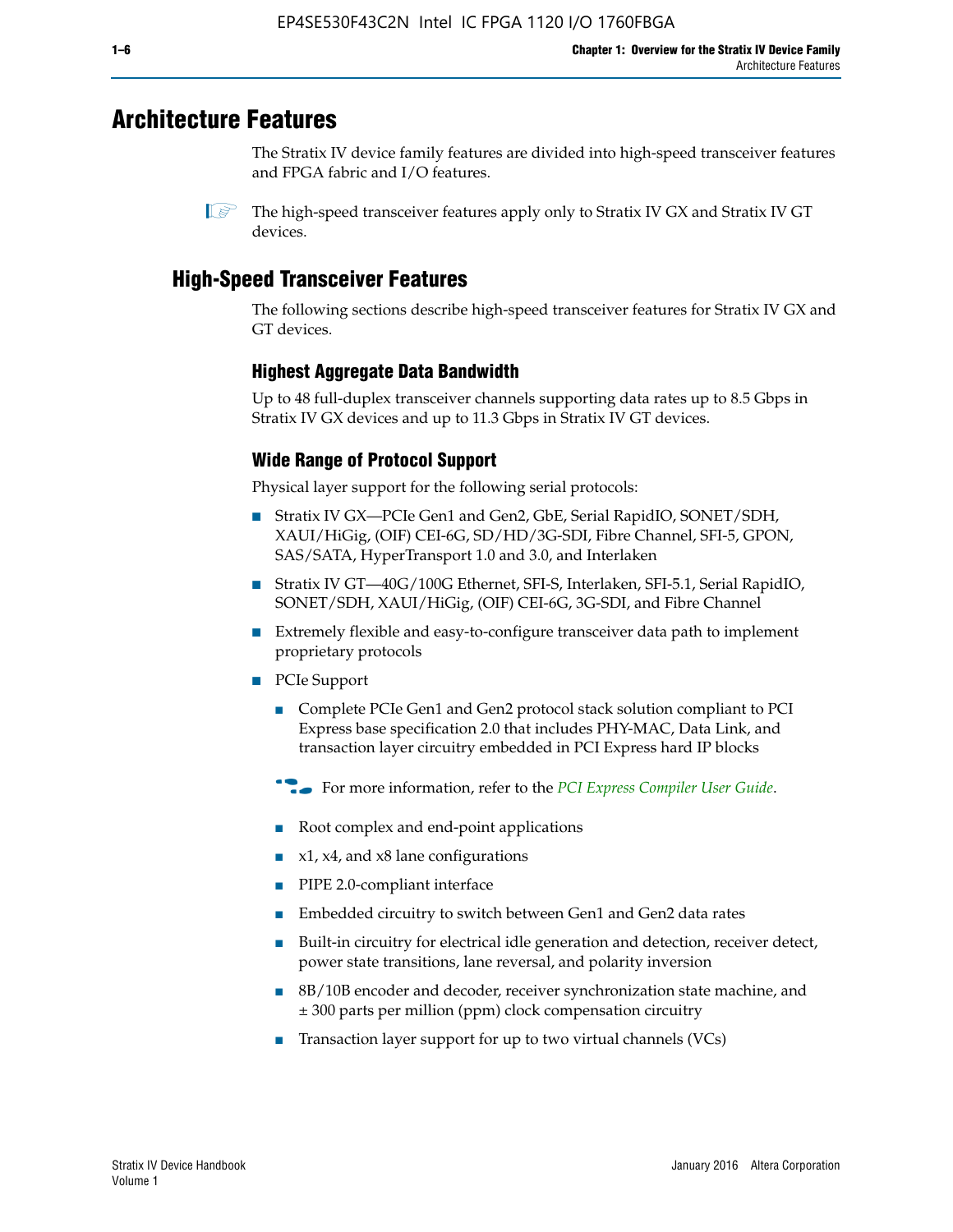# **Architecture Features**

The Stratix IV device family features are divided into high-speed transceiver features and FPGA fabric and I/O features.

 $\mathbb{I}$  The high-speed transceiver features apply only to Stratix IV GX and Stratix IV GT devices.

# **High-Speed Transceiver Features**

The following sections describe high-speed transceiver features for Stratix IV GX and GT devices.

## **Highest Aggregate Data Bandwidth**

Up to 48 full-duplex transceiver channels supporting data rates up to 8.5 Gbps in Stratix IV GX devices and up to 11.3 Gbps in Stratix IV GT devices.

# **Wide Range of Protocol Support**

Physical layer support for the following serial protocols:

- Stratix IV GX—PCIe Gen1 and Gen2, GbE, Serial RapidIO, SONET/SDH, XAUI/HiGig, (OIF) CEI-6G, SD/HD/3G-SDI, Fibre Channel, SFI-5, GPON, SAS/SATA, HyperTransport 1.0 and 3.0, and Interlaken
- Stratix IV GT—40G/100G Ethernet, SFI-S, Interlaken, SFI-5.1, Serial RapidIO, SONET/SDH, XAUI/HiGig, (OIF) CEI-6G, 3G-SDI, and Fibre Channel
- Extremely flexible and easy-to-configure transceiver data path to implement proprietary protocols
- PCIe Support
	- Complete PCIe Gen1 and Gen2 protocol stack solution compliant to PCI Express base specification 2.0 that includes PHY-MAC, Data Link, and transaction layer circuitry embedded in PCI Express hard IP blocks
	- **For more information, refer to the [PCI Express Compiler User Guide](http://www.altera.com/literature/ug/ug_pci_express.pdf).**
	- Root complex and end-point applications
	- $x1, x4,$  and  $x8$  lane configurations
	- PIPE 2.0-compliant interface
	- Embedded circuitry to switch between Gen1 and Gen2 data rates
	- Built-in circuitry for electrical idle generation and detection, receiver detect, power state transitions, lane reversal, and polarity inversion
	- 8B/10B encoder and decoder, receiver synchronization state machine, and ± 300 parts per million (ppm) clock compensation circuitry
	- Transaction layer support for up to two virtual channels (VCs)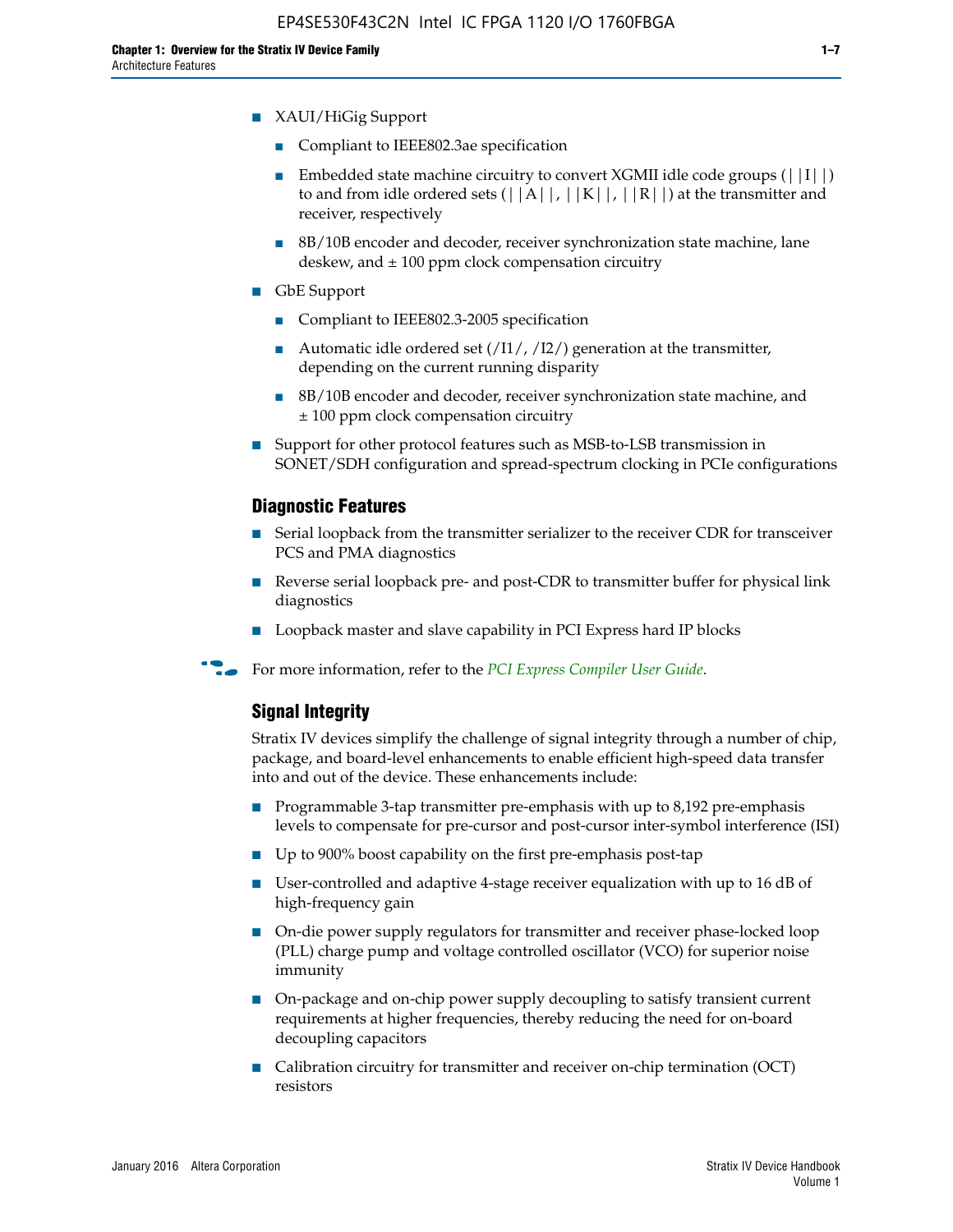- XAUI/HiGig Support
	- Compliant to IEEE802.3ae specification
	- **■** Embedded state machine circuitry to convert XGMII idle code groups  $(|11|)$ to and from idle ordered sets  $(|A|, |K|, |R|)$  at the transmitter and receiver, respectively
	- 8B/10B encoder and decoder, receiver synchronization state machine, lane deskew, and  $\pm 100$  ppm clock compensation circuitry
- GbE Support
	- Compliant to IEEE802.3-2005 specification
	- Automatic idle ordered set  $(111/112/1)$  generation at the transmitter, depending on the current running disparity
	- 8B/10B encoder and decoder, receiver synchronization state machine, and ± 100 ppm clock compensation circuitry
- Support for other protocol features such as MSB-to-LSB transmission in SONET/SDH configuration and spread-spectrum clocking in PCIe configurations

#### **Diagnostic Features**

- Serial loopback from the transmitter serializer to the receiver CDR for transceiver PCS and PMA diagnostics
- Reverse serial loopback pre- and post-CDR to transmitter buffer for physical link diagnostics
- Loopback master and slave capability in PCI Express hard IP blocks
- **For more information, refer to the** *[PCI Express Compiler User Guide](http://www.altera.com/literature/ug/ug_pci_express.pdf)***.**

#### **Signal Integrity**

Stratix IV devices simplify the challenge of signal integrity through a number of chip, package, and board-level enhancements to enable efficient high-speed data transfer into and out of the device. These enhancements include:

- Programmable 3-tap transmitter pre-emphasis with up to 8,192 pre-emphasis levels to compensate for pre-cursor and post-cursor inter-symbol interference (ISI)
- Up to 900% boost capability on the first pre-emphasis post-tap
- User-controlled and adaptive 4-stage receiver equalization with up to 16 dB of high-frequency gain
- On-die power supply regulators for transmitter and receiver phase-locked loop (PLL) charge pump and voltage controlled oscillator (VCO) for superior noise immunity
- On-package and on-chip power supply decoupling to satisfy transient current requirements at higher frequencies, thereby reducing the need for on-board decoupling capacitors
- Calibration circuitry for transmitter and receiver on-chip termination (OCT) resistors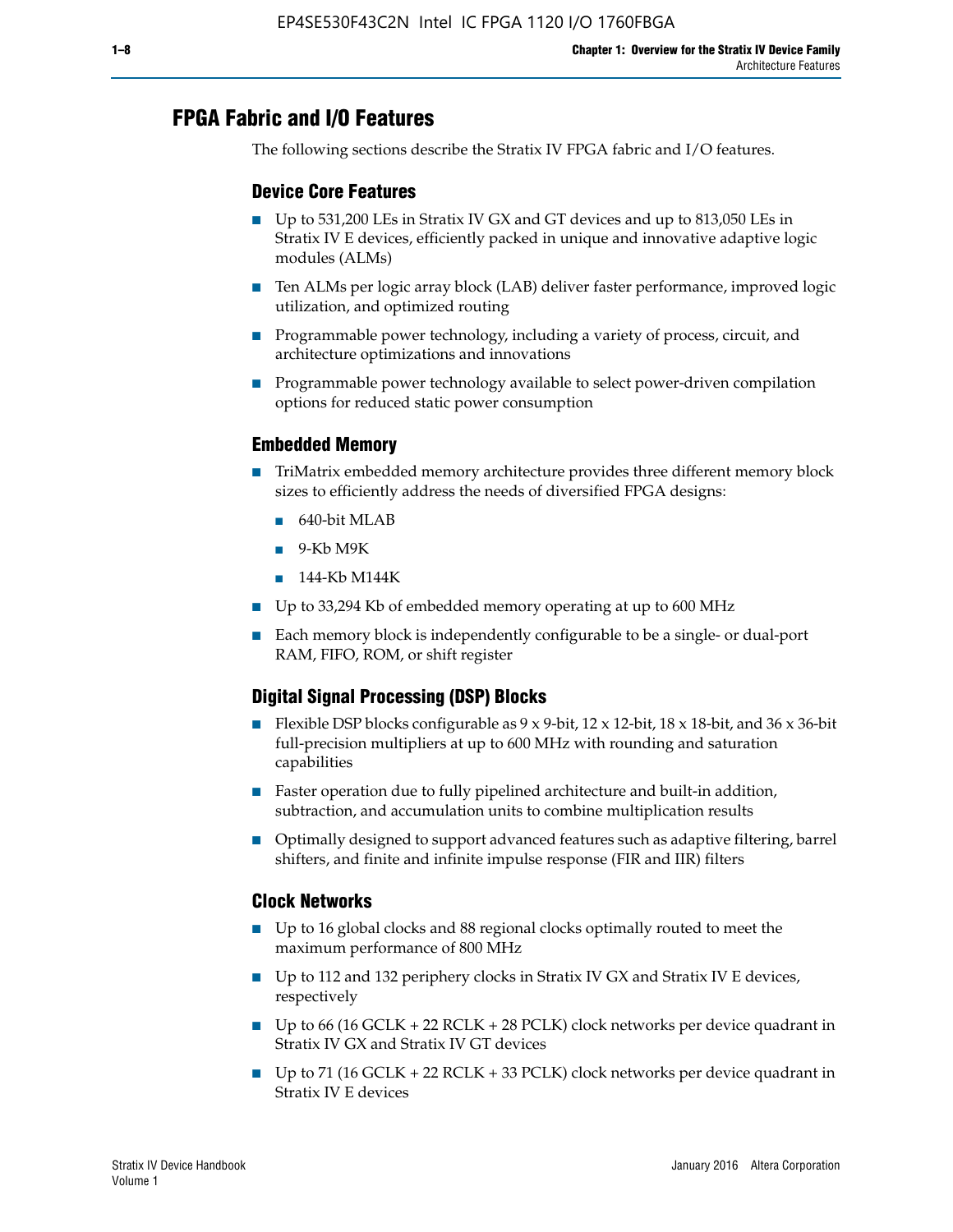# **FPGA Fabric and I/O Features**

The following sections describe the Stratix IV FPGA fabric and I/O features.

## **Device Core Features**

- Up to 531,200 LEs in Stratix IV GX and GT devices and up to 813,050 LEs in Stratix IV E devices, efficiently packed in unique and innovative adaptive logic modules (ALMs)
- Ten ALMs per logic array block (LAB) deliver faster performance, improved logic utilization, and optimized routing
- Programmable power technology, including a variety of process, circuit, and architecture optimizations and innovations
- Programmable power technology available to select power-driven compilation options for reduced static power consumption

## **Embedded Memory**

- TriMatrix embedded memory architecture provides three different memory block sizes to efficiently address the needs of diversified FPGA designs:
	- 640-bit MLAB
	- 9-Kb M9K
	- 144-Kb M144K
- Up to 33,294 Kb of embedded memory operating at up to 600 MHz
- Each memory block is independently configurable to be a single- or dual-port RAM, FIFO, ROM, or shift register

## **Digital Signal Processing (DSP) Blocks**

- Flexible DSP blocks configurable as  $9 \times 9$ -bit,  $12 \times 12$ -bit,  $18 \times 18$ -bit, and  $36 \times 36$ -bit full-precision multipliers at up to 600 MHz with rounding and saturation capabilities
- Faster operation due to fully pipelined architecture and built-in addition, subtraction, and accumulation units to combine multiplication results
- Optimally designed to support advanced features such as adaptive filtering, barrel shifters, and finite and infinite impulse response (FIR and IIR) filters

## **Clock Networks**

- Up to 16 global clocks and 88 regional clocks optimally routed to meet the maximum performance of 800 MHz
- Up to 112 and 132 periphery clocks in Stratix IV GX and Stratix IV E devices, respectively
- Up to 66 (16 GCLK + 22 RCLK + 28 PCLK) clock networks per device quadrant in Stratix IV GX and Stratix IV GT devices
- Up to 71 (16 GCLK + 22 RCLK + 33 PCLK) clock networks per device quadrant in Stratix IV E devices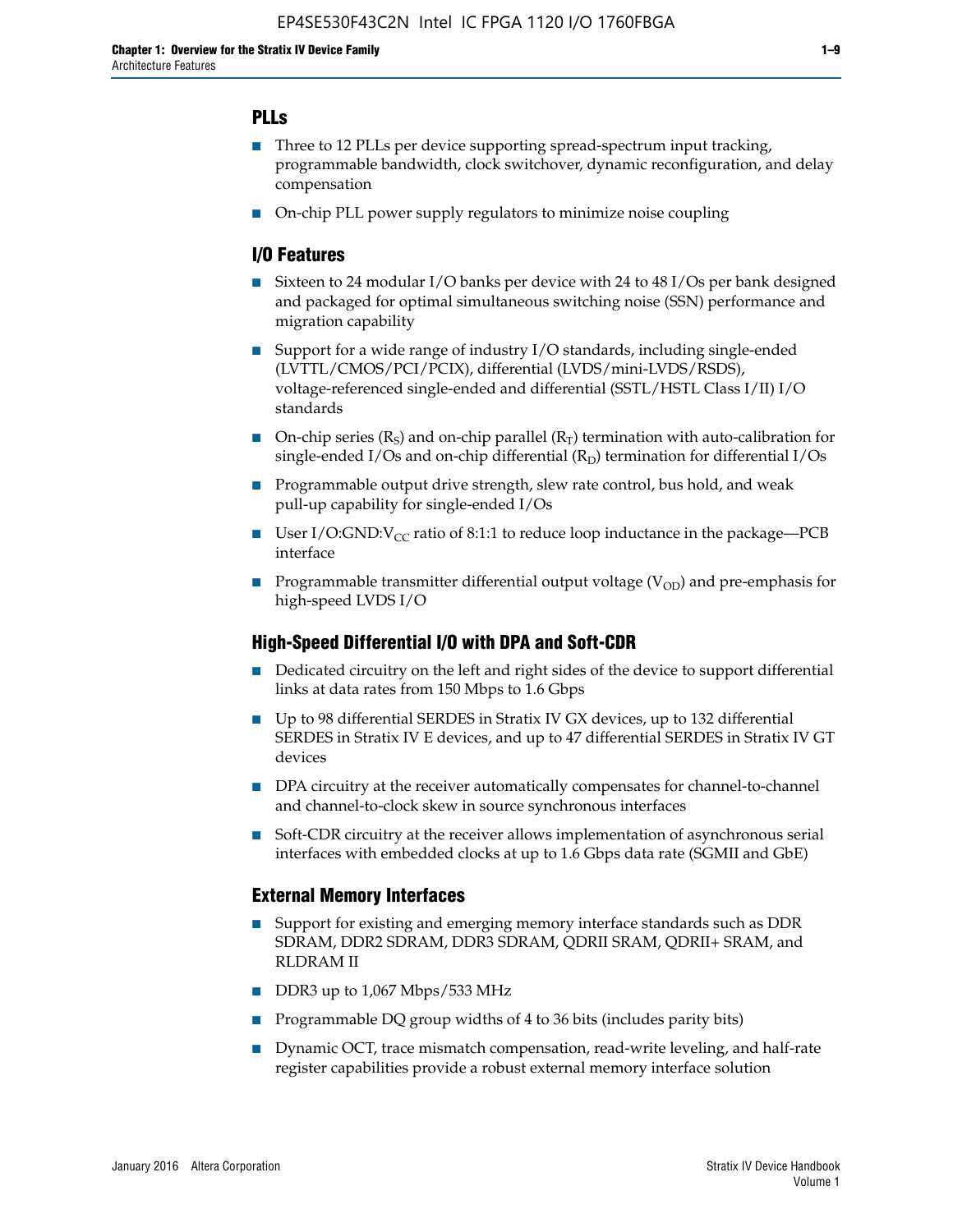## **PLLs**

- Three to 12 PLLs per device supporting spread-spectrum input tracking, programmable bandwidth, clock switchover, dynamic reconfiguration, and delay compensation
- On-chip PLL power supply regulators to minimize noise coupling

## **I/O Features**

- Sixteen to 24 modular I/O banks per device with 24 to 48 I/Os per bank designed and packaged for optimal simultaneous switching noise (SSN) performance and migration capability
- Support for a wide range of industry I/O standards, including single-ended (LVTTL/CMOS/PCI/PCIX), differential (LVDS/mini-LVDS/RSDS), voltage-referenced single-ended and differential (SSTL/HSTL Class I/II) I/O standards
- **O**n-chip series  $(R_S)$  and on-chip parallel  $(R_T)$  termination with auto-calibration for single-ended I/Os and on-chip differential  $(R_D)$  termination for differential I/Os
- Programmable output drive strength, slew rate control, bus hold, and weak pull-up capability for single-ended I/Os
- User I/O:GND: $V_{CC}$  ratio of 8:1:1 to reduce loop inductance in the package—PCB interface
- **■** Programmable transmitter differential output voltage ( $V_{OD}$ ) and pre-emphasis for high-speed LVDS I/O

#### **High-Speed Differential I/O with DPA and Soft-CDR**

- Dedicated circuitry on the left and right sides of the device to support differential links at data rates from 150 Mbps to 1.6 Gbps
- Up to 98 differential SERDES in Stratix IV GX devices, up to 132 differential SERDES in Stratix IV E devices, and up to 47 differential SERDES in Stratix IV GT devices
- DPA circuitry at the receiver automatically compensates for channel-to-channel and channel-to-clock skew in source synchronous interfaces
- Soft-CDR circuitry at the receiver allows implementation of asynchronous serial interfaces with embedded clocks at up to 1.6 Gbps data rate (SGMII and GbE)

#### **External Memory Interfaces**

- Support for existing and emerging memory interface standards such as DDR SDRAM, DDR2 SDRAM, DDR3 SDRAM, QDRII SRAM, QDRII+ SRAM, and RLDRAM II
- DDR3 up to 1,067 Mbps/533 MHz
- Programmable DQ group widths of 4 to 36 bits (includes parity bits)
- Dynamic OCT, trace mismatch compensation, read-write leveling, and half-rate register capabilities provide a robust external memory interface solution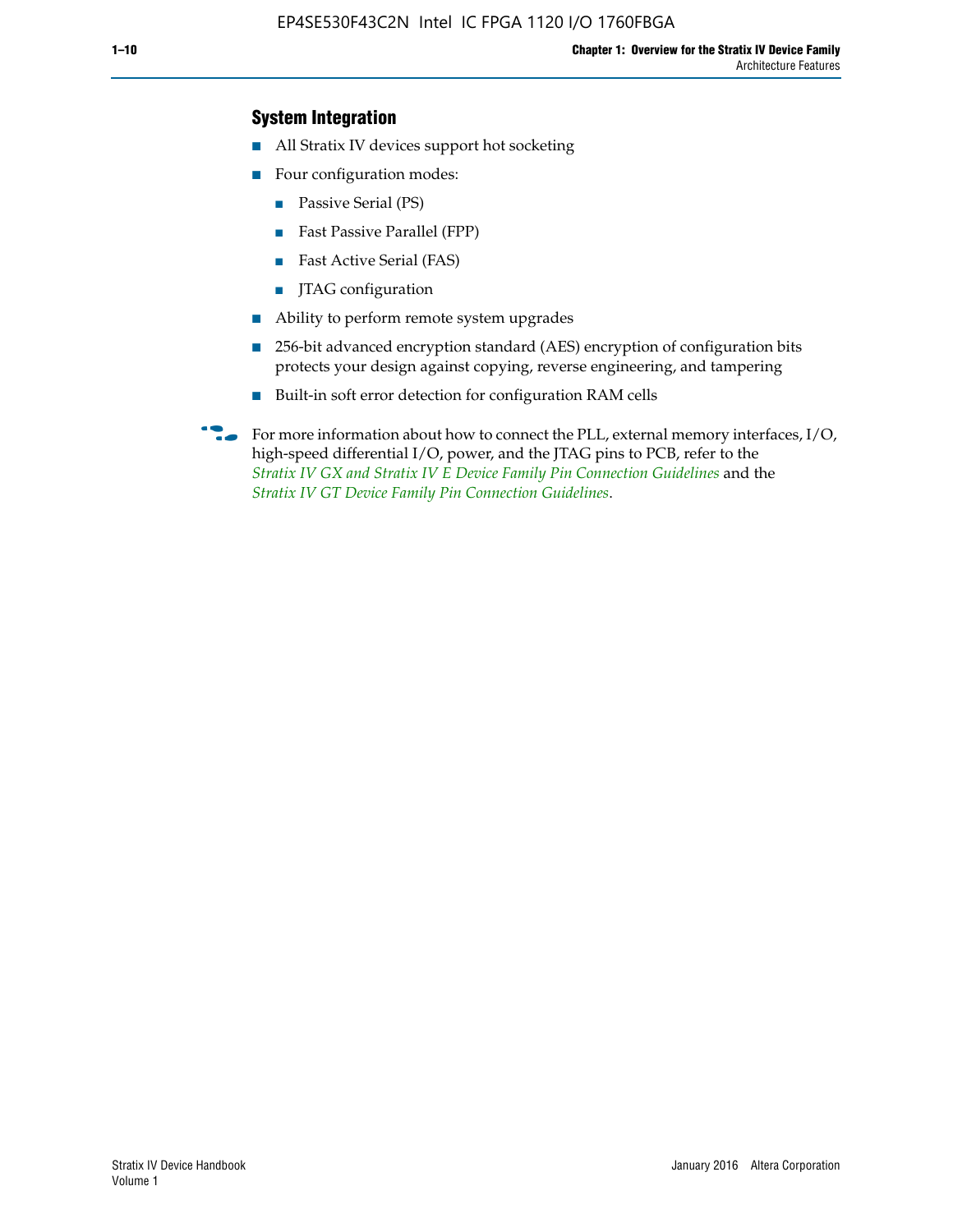## **System Integration**

- All Stratix IV devices support hot socketing
- Four configuration modes:
	- Passive Serial (PS)
	- Fast Passive Parallel (FPP)
	- Fast Active Serial (FAS)
	- JTAG configuration
- Ability to perform remote system upgrades
- 256-bit advanced encryption standard (AES) encryption of configuration bits protects your design against copying, reverse engineering, and tampering
- Built-in soft error detection for configuration RAM cells
- For more information about how to connect the PLL, external memory interfaces,  $I/O$ , high-speed differential I/O, power, and the JTAG pins to PCB, refer to the *[Stratix IV GX and Stratix IV E Device Family Pin Connection Guidelines](http://www.altera.com/literature/dp/stratix4/PCG-01005.pdf)* and the *[Stratix IV GT Device Family Pin Connection Guidelines](http://www.altera.com/literature/dp/stratix4/PCG-01006.pdf)*.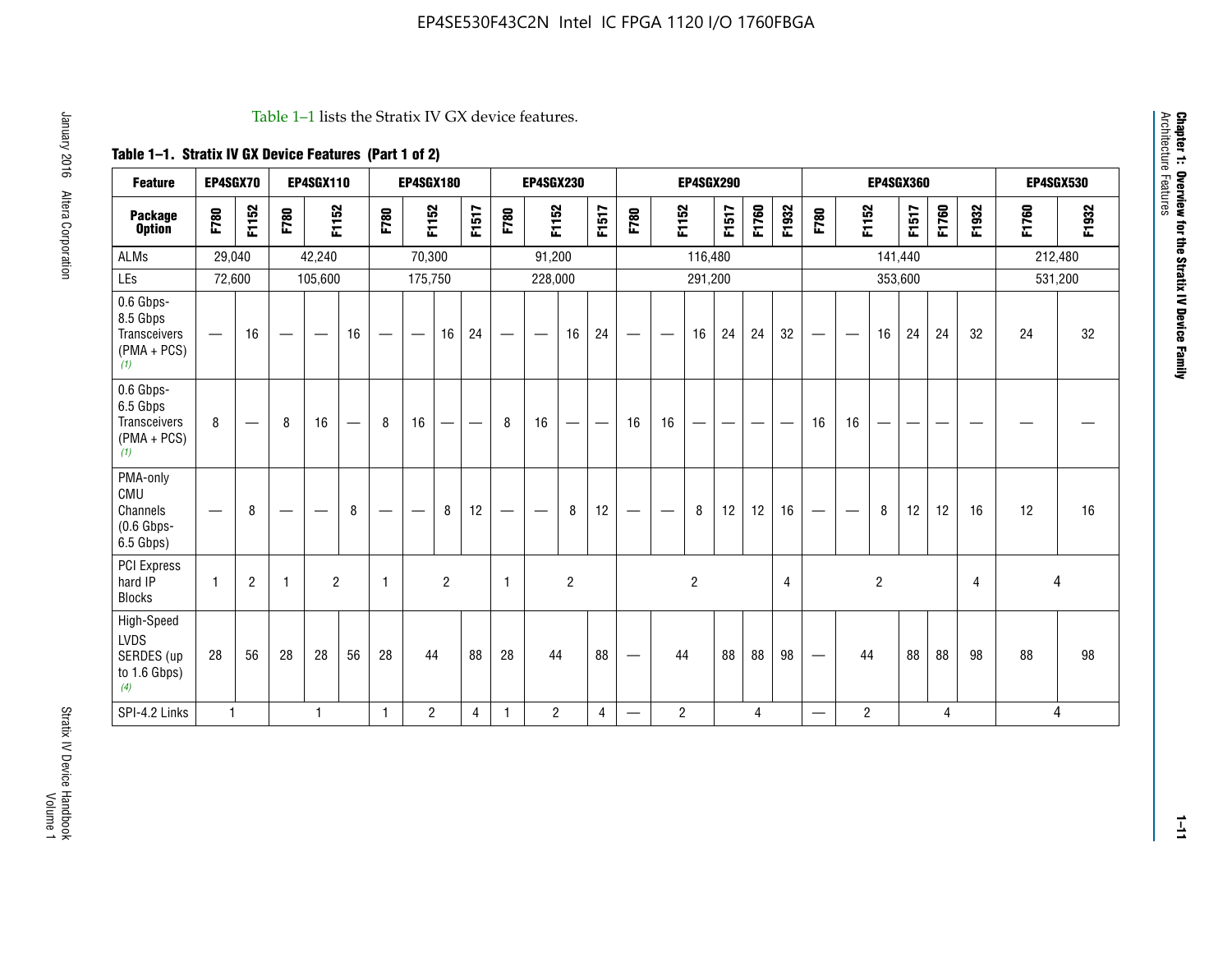#### Table 1–1 lists the Stratix IV GX device features.

## **Table 1–1. Stratix IV GX Device Features (Part 1 of 2)**

| <b>Feature</b>                                                 | EP4SGX70                 |                |                                  | <b>EP4SGX110</b>  |    |                                | <b>EP4SGX180</b>               |                |       |              | <b>EP4SGX230</b>         |                |       |                                 |                | <b>EP4SGX290</b> |       |       |                |                                 |                   | <b>EP4SGX360</b> |         |       |       |         | <b>EP4SGX530</b> |
|----------------------------------------------------------------|--------------------------|----------------|----------------------------------|-------------------|----|--------------------------------|--------------------------------|----------------|-------|--------------|--------------------------|----------------|-------|---------------------------------|----------------|------------------|-------|-------|----------------|---------------------------------|-------------------|------------------|---------|-------|-------|---------|------------------|
| <b>Package</b><br><b>Option</b>                                | F780                     | F1152          | F780                             | F1152             |    | F780                           | F1152                          |                | F1517 | F780         | F1152                    |                | F1517 | F780                            | F1152          |                  | F1517 | F1760 | F1932          | F780                            | F1152             |                  | F1517   | F1760 | F1932 | F1760   | F1932            |
| <b>ALMs</b>                                                    | 29,040                   |                |                                  | 42,240            |    |                                | 70,300                         |                |       |              | 91,200                   |                |       |                                 |                | 116,480          |       |       |                |                                 |                   |                  | 141,440 |       |       | 212,480 |                  |
| LEs                                                            | 72,600                   |                |                                  | 105,600           |    |                                | 175,750                        |                |       |              | 228,000                  |                |       |                                 |                | 291,200          |       |       |                |                                 |                   |                  | 353,600 |       |       |         | 531,200          |
| 0.6 Gbps-<br>8.5 Gbps<br>Transceivers<br>$(PMA + PCs)$<br>(1)  | $\overline{\phantom{0}}$ | 16             | $\hspace{0.05cm}$                | $\hspace{0.05cm}$ | 16 | $\qquad \qquad \longleftarrow$ | $\hspace{0.05cm}$              | 16             | 24    |              | $\overline{\phantom{a}}$ | 16             | 24    | —                               |                | 16               | 24    | 24    | 32             | $\overline{\phantom{0}}$        | $\hspace{0.05cm}$ | 16               | 24      | 24    | 32    | 24      | 32               |
| 0.6 Gbps-<br>6.5 Gbps<br>Transceivers<br>$(PMA + PCs)$<br>(1)  | 8                        |                | 8                                | 16                |    | 8                              | 16                             | ÷              |       | 8            | 16                       | —              |       | 16                              | 16             |                  |       |       |                | 16                              | 16                |                  |         |       |       |         |                  |
| PMA-only<br>CMU<br>Channels<br>$(0.6$ Gbps-<br>6.5 Gbps)       | $\overline{\phantom{0}}$ | 8              | $\overbrace{\phantom{12322111}}$ |                   | 8  | $\qquad \qquad \longleftarrow$ | $\qquad \qquad \longleftarrow$ | 8              | 12    |              |                          | 8              | 12    | $\hspace{0.1mm}-\hspace{0.1mm}$ |                | 8                | 12    | 12    | 16             | $\overline{\phantom{0}}$        | $\hspace{0.05cm}$ | 8                | 12      | 12    | 16    | 12      | 16               |
| PCI Express<br>hard IP<br><b>Blocks</b>                        | $\mathbf{1}$             | $\overline{2}$ | $\mathbf 1$                      | $\overline{2}$    |    | $\mathbf{1}$                   |                                | $\overline{2}$ |       | $\mathbf{1}$ |                          | $\overline{c}$ |       |                                 |                | $\overline{c}$   |       |       | $\overline{4}$ |                                 |                   | $\overline{2}$   |         |       | 4     |         | 4                |
| High-Speed<br><b>LVDS</b><br>SERDES (up<br>to 1.6 Gbps)<br>(4) | 28                       | 56             | 28                               | 28                | 56 | 28                             | 44                             |                | 88    | 28           | 44                       |                | 88    | —                               | 44             |                  | 88    | 88    | 98             | $\hspace{0.1mm}-\hspace{0.1mm}$ | 44                |                  | 88      | 88    | 98    | 88      | 98               |
| SPI-4.2 Links                                                  | $\mathbf{1}$             |                |                                  | 1                 |    | $\mathbf{1}$                   | $\overline{c}$                 |                | 4     | 1            | $\overline{c}$           |                | 4     | —                               | $\overline{2}$ |                  |       | 4     |                | $\overline{\phantom{0}}$        | $\overline{2}$    |                  |         | 4     |       |         | 4                |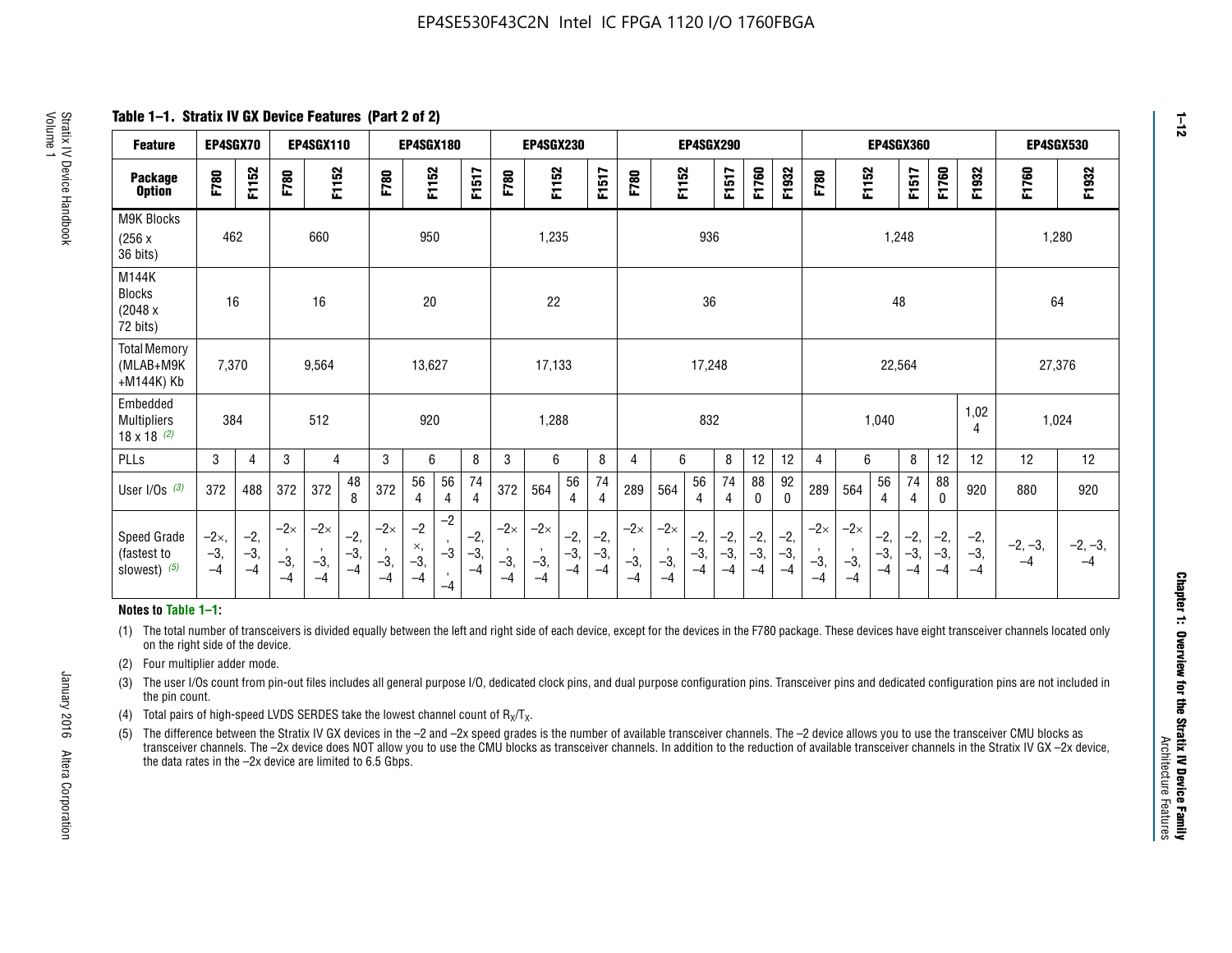**Table 1–1. Stratix IV GX Device Features (Part 2 of 2)**

| <b>Feature</b>                                       | EP4SGX70                |                        |                             | <b>EP4SGX110</b>            |                      |                             | <b>EP4SGX180</b>          |                      |                        |                             | <b>EP4SGX230</b>            |                      |                      |                            |                             | EP4SGX290              |                      |                      |                        |                             |                             |                        | <b>EP4SGX360</b>      |                      |                        | <b>EP4SGX530</b>  |                 |
|------------------------------------------------------|-------------------------|------------------------|-----------------------------|-----------------------------|----------------------|-----------------------------|---------------------------|----------------------|------------------------|-----------------------------|-----------------------------|----------------------|----------------------|----------------------------|-----------------------------|------------------------|----------------------|----------------------|------------------------|-----------------------------|-----------------------------|------------------------|-----------------------|----------------------|------------------------|-------------------|-----------------|
| <b>Package</b><br><b>Option</b>                      | F780                    | F1152                  | F780                        | F1152                       |                      | F780                        | F1152                     |                      | F1517                  | F780                        | F1152                       |                      | F1517                | F780                       | F1152                       |                        | F1517                | F1760                | F1932                  | F780                        | F1152                       |                        | F1517                 | F1760                | F1932                  | F1760             | F1932           |
| M9K Blocks<br>(256x)<br>36 bits)                     | 462                     |                        |                             | 660                         |                      |                             | 950                       |                      |                        |                             | 1,235                       |                      |                      |                            |                             | 936                    |                      |                      |                        |                             |                             | 1,248                  |                       |                      |                        |                   | 1,280           |
| M144K<br><b>Blocks</b><br>(2048 x<br>72 bits)        | 16                      |                        |                             | 16                          |                      |                             | 20                        |                      |                        |                             | 22                          |                      |                      |                            |                             | 36                     |                      |                      |                        |                             |                             | 48                     |                       |                      |                        | 64                |                 |
| <b>Total Memory</b><br>(MLAB+M9K<br>+M144K) Kb       | 7,370                   |                        |                             | 9,564                       |                      |                             | 13,627                    |                      |                        |                             | 17,133                      |                      |                      |                            |                             | 17,248                 |                      |                      |                        |                             |                             | 22,564                 |                       |                      |                        | 27,376            |                 |
| Embedded<br><b>Multipliers</b><br>$18 \times 18$ (2) | 384                     |                        |                             | 512                         |                      |                             | 920                       |                      |                        |                             | 1,288                       |                      |                      |                            |                             | 832                    |                      |                      |                        |                             |                             | 1,040                  |                       |                      | 1,02<br>4              | 1,024             |                 |
| PLLs                                                 | 3                       | $\overline{4}$         | 3                           | 4                           |                      | 3                           | 6                         |                      | 8                      | 3                           | 6                           |                      | 8                    | 4                          | 6                           |                        | 8                    | 12                   | 12                     | 4                           | 6                           |                        | 8                     | 12                   | 12                     | 12                | 12              |
| User $I/Os$ (3)                                      | 372                     | 488                    | 372                         | 372                         | 48<br>8              | 372                         | 56<br>4                   | 56<br>4              | 74<br>4                | 372                         | 564                         | 56<br>$\overline{4}$ | 74<br>$\overline{4}$ | 289                        | 564                         | 56<br>4                | 74<br>4              | 88<br>0              | 92<br>$\mathbf 0$      | 289                         | 564                         | 56<br>4                | 74<br>4               | 88<br>$\mathbf{0}$   | 920                    | 880               | 920             |
| Speed Grade<br>(fastest to<br>slowest) (5)           | $-2x,$<br>$-3,$<br>$-4$ | $-2,$<br>$-3,$<br>$-4$ | $-2\times$<br>$-3,$<br>$-4$ | $-2\times$<br>$-3,$<br>$-4$ | $-2,$<br>-3,<br>$-4$ | $-2\times$<br>$-3,$<br>$-4$ | $-2$<br>×,<br>$-3,$<br>-4 | $-2$<br>$-3$<br>$-4$ | $-2,$<br>$-3,$<br>$-4$ | $-2\times$<br>$-3,$<br>$-4$ | $-2\times$<br>$-3,$<br>$-4$ | $-2,$<br>-3,<br>$-4$ | $-2,$<br>-3,<br>$-4$ | $-2\times$<br>$-3$<br>$-4$ | $-2\times$<br>$-3,$<br>$-4$ | $-2,$<br>$-3,$<br>$-4$ | $-2,$<br>-3,<br>$-4$ | $-2,$<br>-3,<br>$-4$ | $-2,$<br>$-3,$<br>$-4$ | $-2\times$<br>$-3,$<br>$-4$ | $-2\times$<br>$-3,$<br>$-4$ | $-2,$<br>$-3,$<br>$-4$ | $-2,$<br>$-3$<br>$-4$ | $-2,$<br>-3,<br>$-4$ | $-2,$<br>$-3,$<br>$-4$ | $-2, -3,$<br>$-4$ | $-2, -3,$<br>-4 |

#### **Notes to Table 1–1:**

(1) The total number of transceivers is divided equally between the left and right side of each device, except for the devices in the F780 package. These devices have eight transceiver channels located only on the right side of the device.

(2) Four multiplier adder mode.

(3) The user I/Os count from pin-out files includes all general purpose I/O, dedicated clock pins, and dual purpose configuration pins. Transceiver pins and dedicated configuration pins are not included in the pin count.

- (4) Total pairs of high-speed LVDS SERDES take the lowest channel count of  $R_X/T_X$ .
- (5) The difference between the Stratix IV GX devices in the –2 and –2x speed grades is the number of available transceiver channels. The –2 device allows you to use the transceiver CMU blocks as transceiver channels. The –2x device does NOT allow you to use the CMU blocks as transceiver channels. In addition to the reduction of available transceiver channels in the Stratix IV GX –2x device, the data rates in the –2x device are limited to 6.5 Gbps.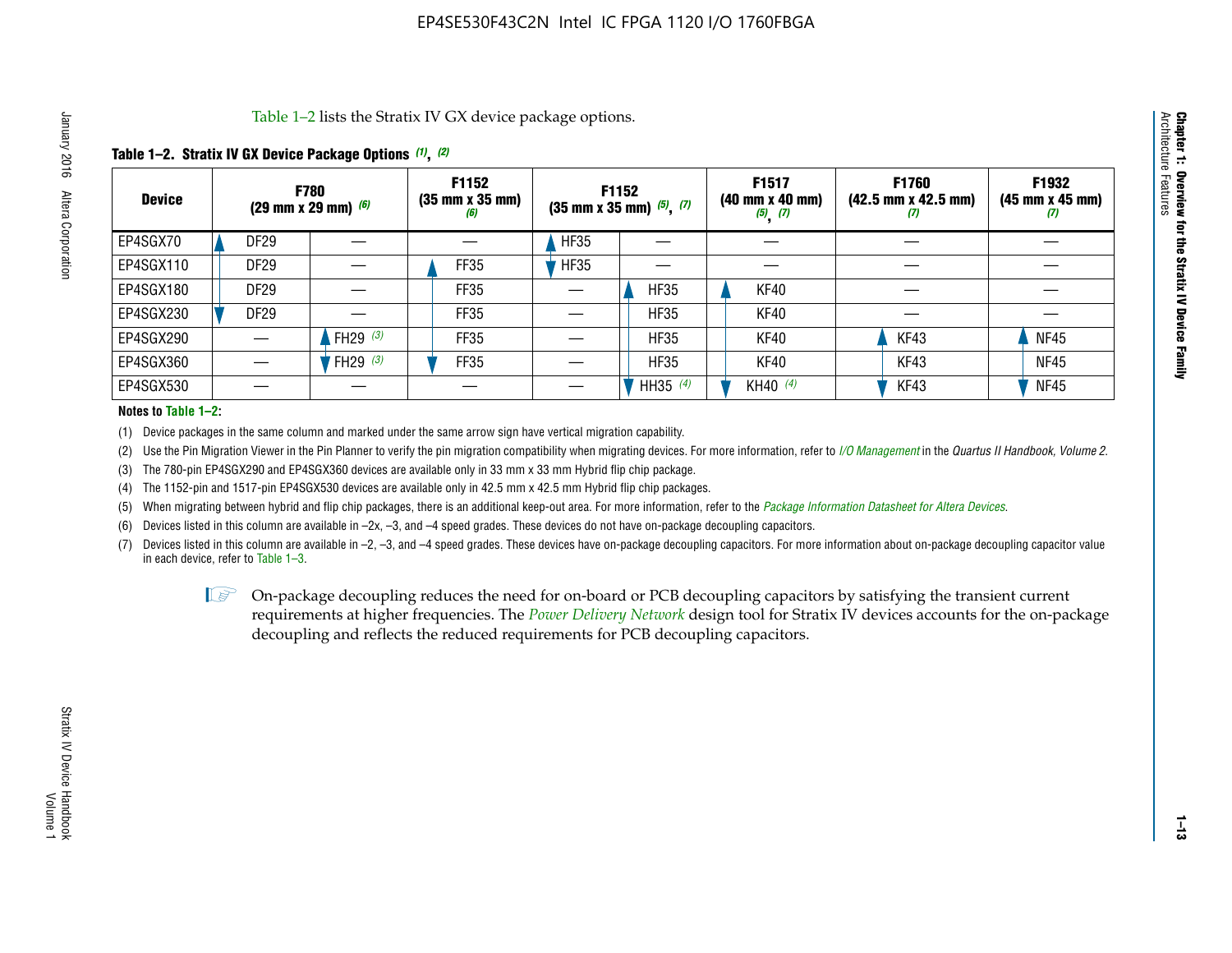Table 1–2 lists the Stratix IV GX device package options.

## **Table 1–2. Stratix IV GX Device Package Options** *(1)***,** *(2)*

| <b>Device</b> |                  | <b>F780</b><br>(29 mm x 29 mm) $(6)$ | F1152<br>$(35 \, \text{mm} \times 35 \, \text{mm})$<br>(6) |             | F1152<br>$(35$ mm x 35 mm) $(5)$ , $(7)$ | F1517<br>$(40 \, \text{mm} \times 40 \, \text{mm})$<br>$(5)$ $(7)$ | <b>F1760</b><br>$(42.5 \text{ mm} \times 42.5 \text{ mm})$<br>$\boldsymbol{U}$ | F1932<br>$(45 \, \text{mm} \times 45 \, \text{mm})$<br>(7) |
|---------------|------------------|--------------------------------------|------------------------------------------------------------|-------------|------------------------------------------|--------------------------------------------------------------------|--------------------------------------------------------------------------------|------------------------------------------------------------|
| EP4SGX70      | <b>DF29</b>      |                                      |                                                            | <b>HF35</b> |                                          |                                                                    |                                                                                |                                                            |
| EP4SGX110     | DF <sub>29</sub> |                                      | FF35                                                       | <b>HF35</b> |                                          |                                                                    |                                                                                |                                                            |
| EP4SGX180     | <b>DF29</b>      |                                      | FF35                                                       |             | <b>HF35</b>                              | KF40                                                               |                                                                                |                                                            |
| EP4SGX230     | DF <sub>29</sub> |                                      | FF35                                                       |             | <b>HF35</b>                              | KF40                                                               |                                                                                |                                                            |
| EP4SGX290     |                  | FH29 $(3)$                           | <b>FF35</b>                                                |             | <b>HF35</b>                              | KF40                                                               | KF43                                                                           | <b>NF45</b>                                                |
| EP4SGX360     |                  | FH29 $(3)$                           | FF35                                                       |             | <b>HF35</b>                              | KF40                                                               | KF43                                                                           | <b>NF45</b>                                                |
| EP4SGX530     |                  |                                      |                                                            |             | HH35 $(4)$                               | KH40 (4)                                                           | KF43                                                                           | <b>NF45</b>                                                |

#### **Notes to Table 1–2:**

(1) Device packages in the same column and marked under the same arrow sign have vertical migration capability.

(2) Use the Pin Migration Viewer in the Pin Planner to verify the pin migration compatibility when migrating devices. For more information, refer to *[I/O Management](http://www.altera.com/literature/hb/qts/qts_qii52013.pdf)* in the *Quartus II Handbook, Volume 2*.

(3) The 780-pin EP4SGX290 and EP4SGX360 devices are available only in 33 mm x 33 mm Hybrid flip chip package.

(4) The 1152-pin and 1517-pin EP4SGX530 devices are available only in 42.5 mm x 42.5 mm Hybrid flip chip packages.

(5) When migrating between hybrid and flip chip packages, there is an additional keep-out area. For more information, refer to the *[Package Information Datasheet for Altera Devices](http://www.altera.com/literature/ds/dspkg.pdf)*.

(6) Devices listed in this column are available in –2x, –3, and –4 speed grades. These devices do not have on-package decoupling capacitors.

(7) Devices listed in this column are available in –2, –3, and –4 speed grades. These devices have on-package decoupling capacitors. For more information about on-package decoupling capacitor value in each device, refer to Table 1–3.

 $\mathbb{L}$ s On-package decoupling reduces the need for on-board or PCB decoupling capacitors by satisfying the transient current requirements at higher frequencies. The *[Power Delivery Network](http://www.altera.com/literature/ug/pdn_tool_stxiv.zip)* design tool for Stratix IV devices accounts for the on-package decoupling and reflects the reduced requirements for PCB decoupling capacitors.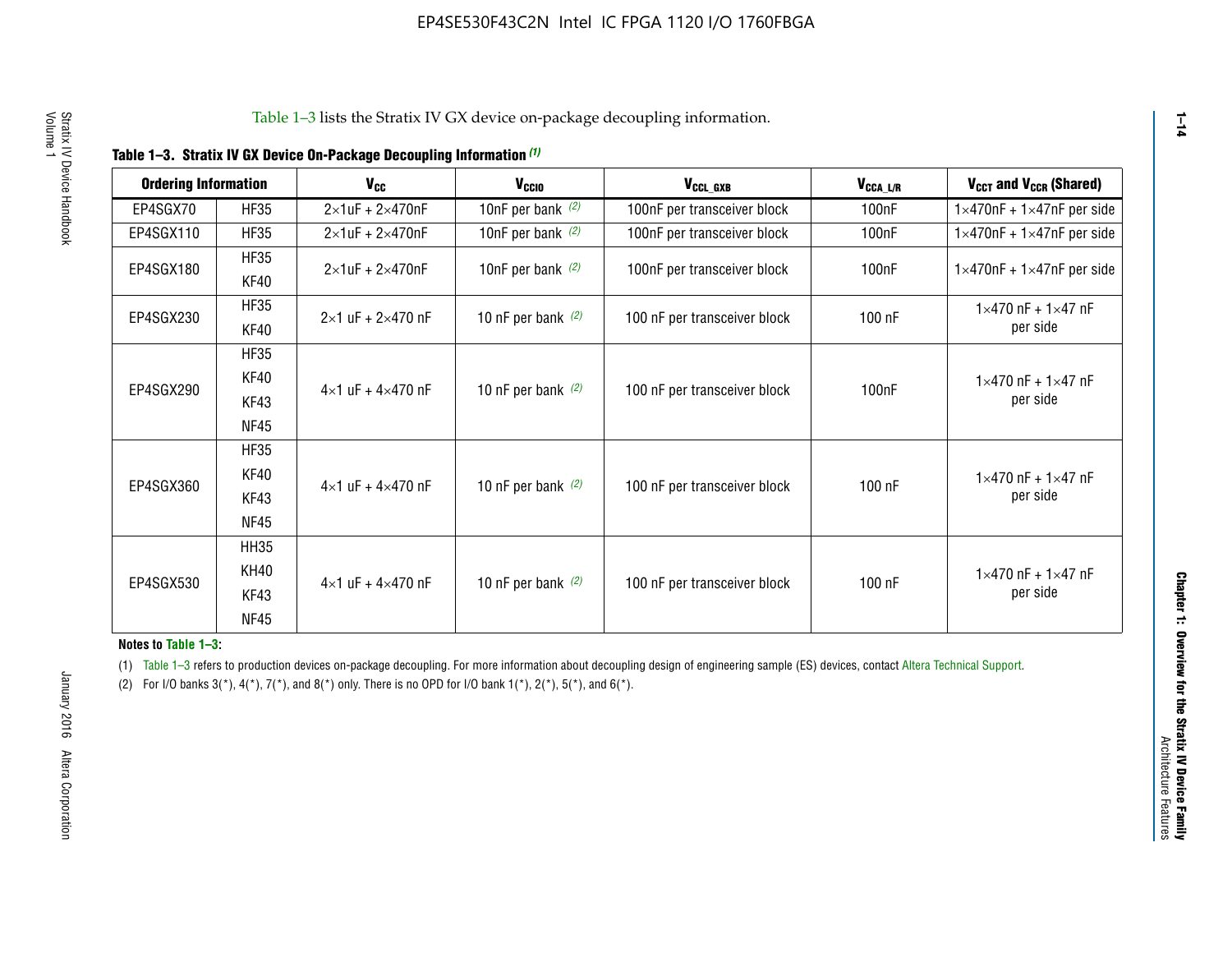|  |  | Table 1-3. Stratix IV GX Device On-Package Decoupling Information (1) |  |  |
|--|--|-----------------------------------------------------------------------|--|--|
|--|--|-----------------------------------------------------------------------|--|--|

| <b>Ordering Information</b> |             | <b>V<sub>cc</sub></b>               | V <sub>ccio</sub>    | V <sub>CCL_GXB</sub>         | $V_{\texttt{CCA}\_\textsf{L/R}}$ | $V_{CCT}$ and $V_{CCR}$ (Shared)              |  |
|-----------------------------|-------------|-------------------------------------|----------------------|------------------------------|----------------------------------|-----------------------------------------------|--|
|                             |             |                                     |                      |                              |                                  |                                               |  |
| EP4SGX70                    | <b>HF35</b> | $2\times1$ uF + $2\times470$ nF     | 10nF per bank $(2)$  | 100nF per transceiver block  | 100nF                            | $1 \times 470$ nF + $1 \times 47$ nF per side |  |
| EP4SGX110                   | <b>HF35</b> | $2\times1$ uF + 2 $\times$ 470nF    | 10nF per bank $(2)$  | 100nF per transceiver block  | 100 <sub>nF</sub>                | $1\times470$ nF + $1\times47$ nF per side     |  |
| EP4SGX180                   | <b>HF35</b> | $2\times1$ uF + $2\times470$ nF     | 10nF per bank $(2)$  | 100nF per transceiver block  | 100 <sub>n</sub> F               | $1 \times 470$ nF + $1 \times 47$ nF per side |  |
|                             | KF40        |                                     |                      |                              |                                  |                                               |  |
|                             | <b>HF35</b> |                                     |                      |                              |                                  | $1 \times 470$ nF + $1 \times 47$ nF          |  |
| EP4SGX230                   | KF40        | $2\times1$ uF + $2\times470$ nF     | 10 nF per bank $(2)$ | 100 nF per transceiver block | 100 nF                           | per side                                      |  |
|                             | <b>HF35</b> |                                     |                      |                              |                                  |                                               |  |
|                             | KF40        |                                     |                      |                              |                                  | $1 \times 470$ nF + $1 \times 47$ nF          |  |
| EP4SGX290                   | KF43        | $4 \times 1$ uF + $4 \times 470$ nF | 10 nF per bank $(2)$ | 100 nF per transceiver block | 100nF                            | per side                                      |  |
|                             | <b>NF45</b> |                                     |                      |                              |                                  |                                               |  |
|                             | <b>HF35</b> |                                     |                      |                              |                                  |                                               |  |
|                             | KF40        |                                     |                      |                              |                                  | $1 \times 470$ nF + $1 \times 47$ nF          |  |
| EP4SGX360                   | KF43        | $4 \times 1$ uF + $4 \times 470$ nF | 10 nF per bank $(2)$ | 100 nF per transceiver block | 100 nF                           | per side                                      |  |
|                             | <b>NF45</b> |                                     |                      |                              |                                  |                                               |  |
|                             | <b>HH35</b> |                                     |                      |                              |                                  |                                               |  |
|                             | <b>KH40</b> |                                     |                      |                              |                                  | $1 \times 470$ nF + $1 \times 47$ nF          |  |
| EP4SGX530                   | KF43        | $4 \times 1$ uF + $4 \times 470$ nF | 10 nF per bank $(2)$ | 100 nF per transceiver block | 100 nF                           | per side                                      |  |
|                             | <b>NF45</b> |                                     |                      |                              |                                  |                                               |  |

**Notes to Table 1–3:**

(1) Table 1-3 refers to production devices on-package decoupling. For more information about decoupling design of engineering sample (ES) devices, contact [Altera Technical Support](http://mysupport.altera.com/eservice/login.asp).

(2) For I/O banks  $3(*)$ ,  $4(*)$ ,  $7(*)$ , and  $8(*)$  only. There is no OPD for I/O bank  $1(*)$ ,  $2(*)$ ,  $5(*)$ , and  $6(*)$ .

**1–14**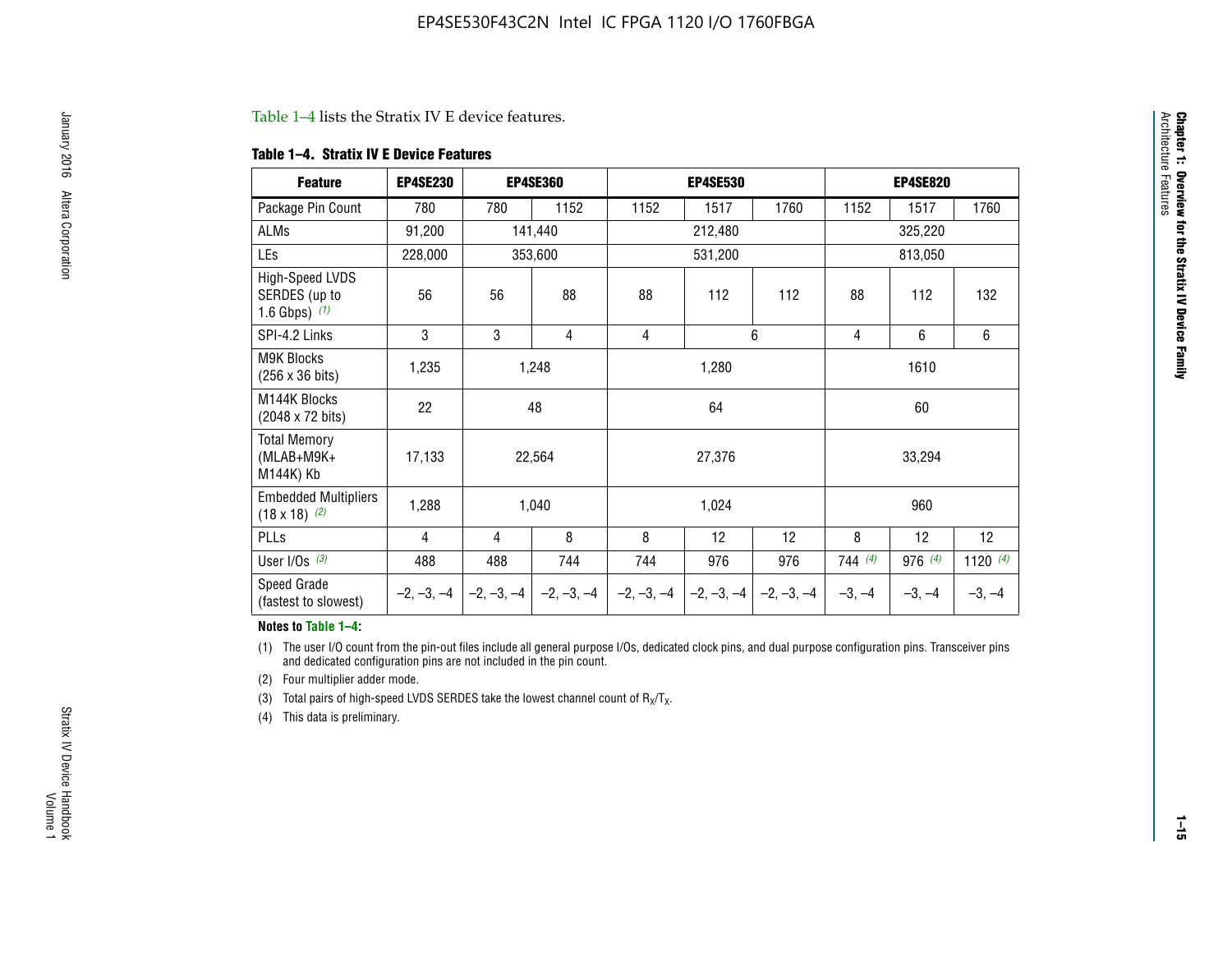#### Table 1–4 lists the Stratix IV E device features.

#### **Table 1–4. Stratix IV E Device Features**

| <b>Feature</b>                                      | <b>EP4SE230</b> |     | <b>EP4SE360</b>                        |              | <b>EP4SE530</b> |              |          | <b>EP4SE820</b> |            |  |
|-----------------------------------------------------|-----------------|-----|----------------------------------------|--------------|-----------------|--------------|----------|-----------------|------------|--|
| Package Pin Count                                   | 780             | 780 | 1152                                   | 1152         | 1517            | 1760         | 1152     | 1517            | 1760       |  |
| ALMs                                                | 91,200          |     | 141,440                                |              | 212,480         |              |          | 325,220         |            |  |
| LEs                                                 | 228,000         |     | 353,600<br>531,200                     |              |                 |              |          | 813,050         |            |  |
| High-Speed LVDS<br>SERDES (up to<br>1.6 Gbps) $(1)$ | 56              | 56  | 88                                     | 88           | 112             | 112          | 88       | 112             | 132        |  |
| SPI-4.2 Links                                       | 3               | 3   | 4                                      | 4            |                 | 6            | 4        | 6               | 6          |  |
| <b>M9K Blocks</b><br>(256 x 36 bits)                | 1,235           |     | 1,248                                  |              | 1,280           |              |          | 1610            |            |  |
| M144K Blocks<br>(2048 x 72 bits)                    | 22              |     | 48                                     |              | 64              |              |          | 60              |            |  |
| <b>Total Memory</b><br>$(MLAB+M9K+$<br>M144K) Kb    | 17,133          |     | 22,564                                 |              | 27,376          |              |          | 33,294          |            |  |
| <b>Embedded Multipliers</b><br>$(18 \times 18)$ (2) | 1,288           |     | 1,040                                  |              | 1,024           |              |          | 960             |            |  |
| PLLs                                                | 4               | 4   | 8                                      | 8            | 12              | 12           | 8        | 12              | 12         |  |
| User I/Os $(3)$                                     | 488             | 488 | 744                                    | 744          | 976             | 976          | 744(4)   | 976 (4)         | 1120 $(4)$ |  |
| Speed Grade<br>(fastest to slowest)                 |                 |     | $-2, -3, -4$ $-2, -3, -4$ $-2, -3, -4$ | $-2, -3, -4$ | $-2, -3, -4$    | $-2, -3, -4$ | $-3, -4$ | $-3, -4$        | $-3, -4$   |  |

#### **Notes to Table 1–4:**

(1) The user I/O count from the pin-out files include all general purpose I/Os, dedicated clock pins, and dual purpose configuration pins. Transceiver pins and dedicated configuration pins are not included in the pin count.

(2) Four multiplier adder mode.

(3) Total pairs of high-speed LVDS SERDES take the lowest channel count of  $R_X/T_X$ .

(4) This data is preliminary.

**Chapter 1: Overview for the Stratix IV Device Family**

**Chapter 1: Overview for the Stratix IV Device Family**<br>Architecture Faatures

Architecture Features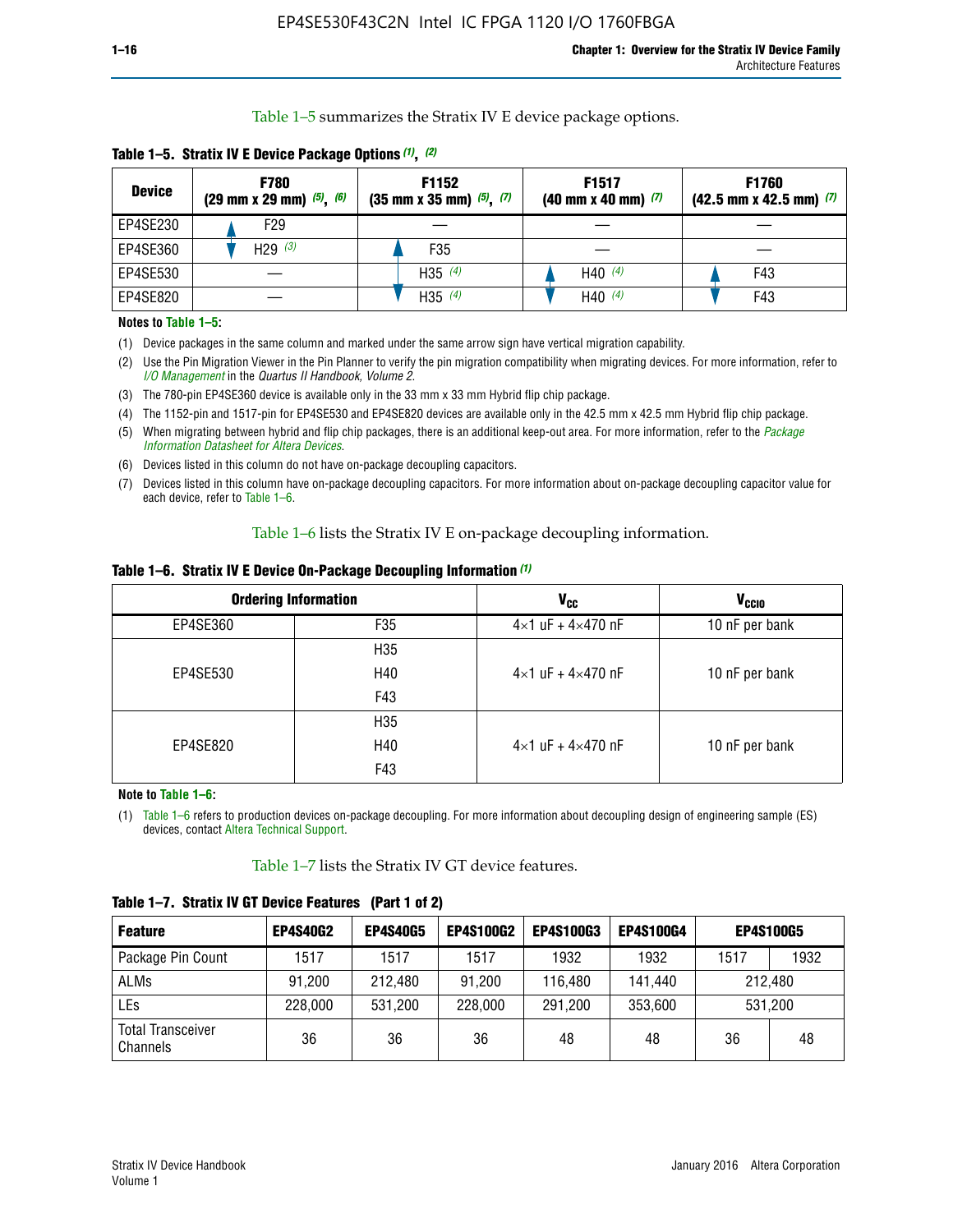Table 1–5 summarizes the Stratix IV E device package options.

| <b>Device</b> | <b>F780</b><br>$(29 \text{ mm} \times 29 \text{ mm})$ $(5)$ , $(6)$ | F1152<br>$(35 \text{ mm} \times 35 \text{ mm})$ $(5)$ , $(7)$ | F <sub>1517</sub><br>$(40 \text{ mm} \times 40 \text{ mm})$ (7) | <b>F1760</b><br>$(42.5$ mm x 42.5 mm) $(7)$ |
|---------------|---------------------------------------------------------------------|---------------------------------------------------------------|-----------------------------------------------------------------|---------------------------------------------|
| EP4SE230      | F29                                                                 |                                                               |                                                                 |                                             |
| EP4SE360      | H29 $(3)$                                                           | F35                                                           |                                                                 |                                             |
| EP4SE530      |                                                                     | H35 $(4)$                                                     | H40 $(4)$                                                       | F43                                         |
| EP4SE820      |                                                                     | H35 $(4)$                                                     | H40 $(4)$                                                       | F43                                         |

**Table 1–5. Stratix IV E Device Package Options** *(1)***,** *(2)*

#### **Notes to Table 1–5:**

(1) Device packages in the same column and marked under the same arrow sign have vertical migration capability.

(2) Use the Pin Migration Viewer in the Pin Planner to verify the pin migration compatibility when migrating devices. For more information, refer to *[I/O Management](http://www.altera.com/literature/hb/qts/qts_qii52013.pdf)* in the *Quartus II Handbook, Volume 2*.

(3) The 780-pin EP4SE360 device is available only in the 33 mm x 33 mm Hybrid flip chip package.

(4) The 1152-pin and 1517-pin for EP4SE530 and EP4SE820 devices are available only in the 42.5 mm x 42.5 mm Hybrid flip chip package.

(5) When migrating between hybrid and flip chip packages, there is an additional keep-out area. For more information, refer to the *[Package](http://www.altera.com/literature/ds/dspkg.pdf)  [Information Datasheet for Altera Devices](http://www.altera.com/literature/ds/dspkg.pdf)*.

(6) Devices listed in this column do not have on-package decoupling capacitors.

(7) Devices listed in this column have on-package decoupling capacitors. For more information about on-package decoupling capacitor value for each device, refer to Table 1–6.

Table 1–6 lists the Stratix IV E on-package decoupling information.

| Table 1–6. Stratix IV E Device On-Package Decoupling Information (1) |  |  |  |  |  |
|----------------------------------------------------------------------|--|--|--|--|--|
|----------------------------------------------------------------------|--|--|--|--|--|

|          | <b>Ordering Information</b> | V <sub>cc</sub>                     | <b>V<sub>CCIO</sub></b> |
|----------|-----------------------------|-------------------------------------|-------------------------|
| EP4SE360 | F <sub>35</sub>             | $4 \times 1$ uF + $4 \times 470$ nF | 10 nF per bank          |
|          | H35                         |                                     |                         |
| EP4SE530 | H40                         | $4\times1$ uF + $4\times470$ nF     | 10 nF per bank          |
|          | F43                         |                                     |                         |
|          | H35                         |                                     |                         |
| EP4SE820 | H40                         | $4\times1$ uF + $4\times470$ nF     | 10 nF per bank          |
|          | F43                         |                                     |                         |

**Note to Table 1–6:**

(1) Table 1–6 refers to production devices on-package decoupling. For more information about decoupling design of engineering sample (ES) devices, contact [Altera Technical Support](http://mysupport.altera.com/eservice/login.asp).

Table 1–7 lists the Stratix IV GT device features.

| <b>Feature</b>                       | <b>EP4S40G2</b> | <b>EP4S40G5</b> | <b>EP4S100G2</b> | <b>EP4S100G3</b> | <b>EP4S100G4</b> |      | <b>EP4S100G5</b> |
|--------------------------------------|-----------------|-----------------|------------------|------------------|------------------|------|------------------|
| Package Pin Count                    | 1517            | 1517            | 1517             | 1932             | 1932             | 1517 | 1932             |
| <b>ALMs</b>                          | 91,200          | 212,480         | 91,200           | 116,480          | 141,440          |      | 212.480          |
| LEs                                  | 228,000         | 531,200         | 228,000          | 291,200          | 353,600          |      | 531,200          |
| <b>Total Transceiver</b><br>Channels | 36              | 36              | 36               | 48               | 48               | 36   | 48               |

**Table 1–7. Stratix IV GT Device Features (Part 1 of 2)**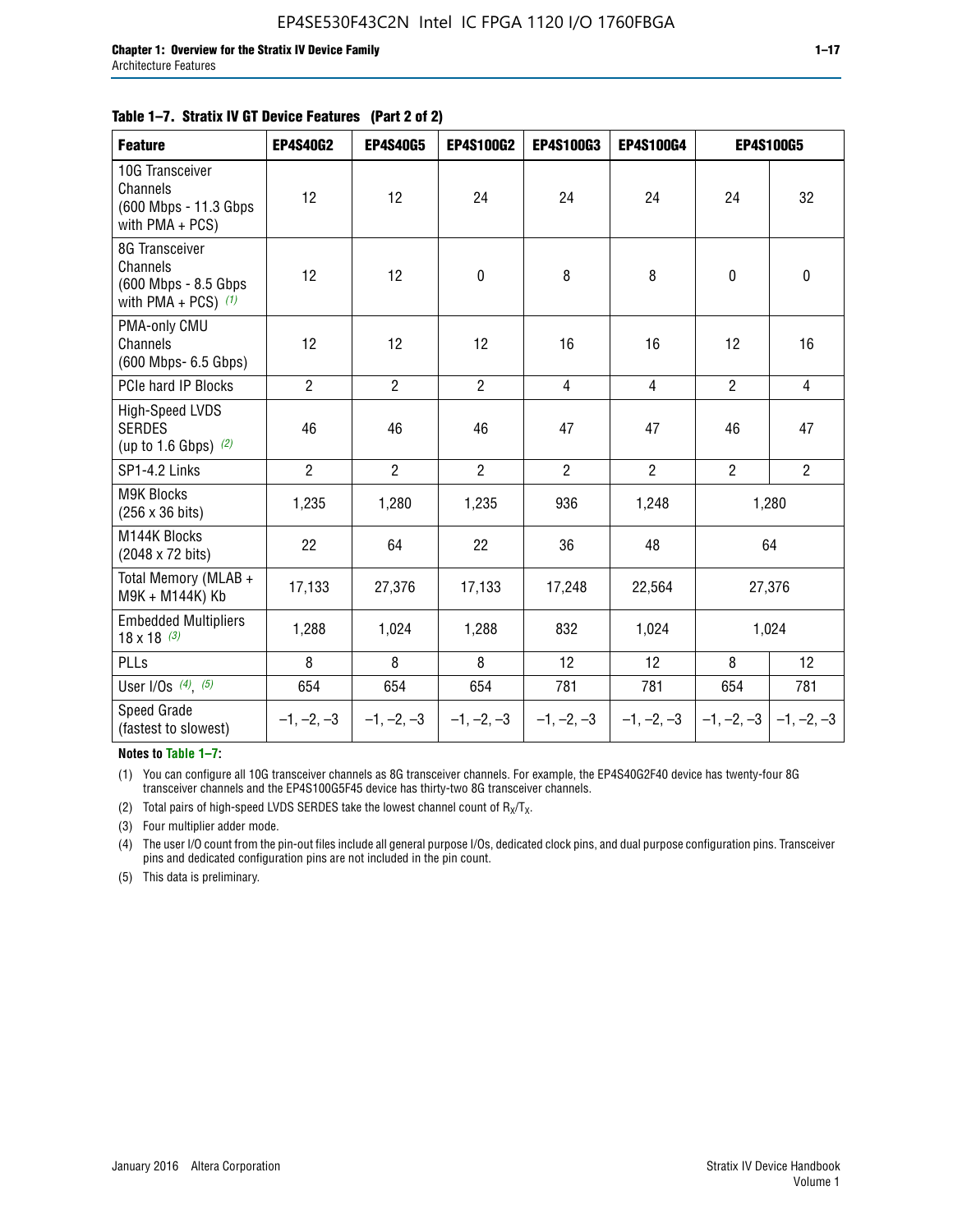#### **Table 1–7. Stratix IV GT Device Features (Part 2 of 2)**

| <b>Feature</b>                                                               | <b>EP4S40G2</b> | <b>EP4S40G5</b> | <b>EP4S100G2</b> | <b>EP4S100G3</b> | <b>EP4S100G4</b> |                | <b>EP4S100G5</b>          |
|------------------------------------------------------------------------------|-----------------|-----------------|------------------|------------------|------------------|----------------|---------------------------|
| 10G Transceiver<br>Channels<br>(600 Mbps - 11.3 Gbps)<br>with $PMA + PCS$ )  | 12              | 12              | 24               | 24               | 24               | 24             | 32                        |
| 8G Transceiver<br>Channels<br>(600 Mbps - 8.5 Gbps)<br>with PMA + PCS) $(1)$ | 12              | 12              | $\pmb{0}$        | 8                | 8                | $\mathbf 0$    | $\mathbf 0$               |
| PMA-only CMU<br>Channels<br>(600 Mbps- 6.5 Gbps)                             | 12              | 12              | 12               | 16               | 16               | 12             | 16                        |
| PCIe hard IP Blocks                                                          | $\overline{2}$  | $\overline{2}$  | $\overline{2}$   | $\overline{4}$   | $\overline{4}$   | $\overline{2}$ | $\overline{4}$            |
| <b>High-Speed LVDS</b><br><b>SERDES</b><br>(up to 1.6 Gbps) $(2)$            | 46              | 46              | 46               | 47               | 47               | 46             | 47                        |
| SP1-4.2 Links                                                                | $\overline{2}$  | $\overline{2}$  | $\overline{2}$   | $\overline{2}$   | $\overline{2}$   | $\overline{2}$ | $\overline{2}$            |
| <b>M9K Blocks</b><br>(256 x 36 bits)                                         | 1,235           | 1,280           | 1,235            | 936              | 1,248            |                | 1,280                     |
| M144K Blocks<br>(2048 x 72 bits)                                             | 22              | 64              | 22               | 36               | 48               |                | 64                        |
| Total Memory (MLAB +<br>M9K + M144K) Kb                                      | 17,133          | 27,376          | 17,133           | 17,248           | 22,564           |                | 27,376                    |
| <b>Embedded Multipliers</b><br>$18 \times 18^{(3)}$                          | 1,288           | 1,024           | 1,288            | 832              | 1,024            |                | 1,024                     |
| PLLs                                                                         | 8               | 8               | 8                | 12               | 12               | 8              | 12                        |
| User I/Os $(4)$ , $(5)$                                                      | 654             | 654             | 654              | 781              | 781              | 654            | 781                       |
| Speed Grade<br>(fastest to slowest)                                          | $-1, -2, -3$    | $-1, -2, -3$    | $-1, -2, -3$     | $-1, -2, -3$     | $-1, -2, -3$     |                | $-1, -2, -3$ $-1, -2, -3$ |

**Notes to Table 1–7:**

(1) You can configure all 10G transceiver channels as 8G transceiver channels. For example, the EP4S40G2F40 device has twenty-four 8G transceiver channels and the EP4S100G5F45 device has thirty-two 8G transceiver channels.

(2) Total pairs of high-speed LVDS SERDES take the lowest channel count of  $R_X/T_X$ .

(3) Four multiplier adder mode.

(4) The user I/O count from the pin-out files include all general purpose I/Os, dedicated clock pins, and dual purpose configuration pins. Transceiver pins and dedicated configuration pins are not included in the pin count.

(5) This data is preliminary.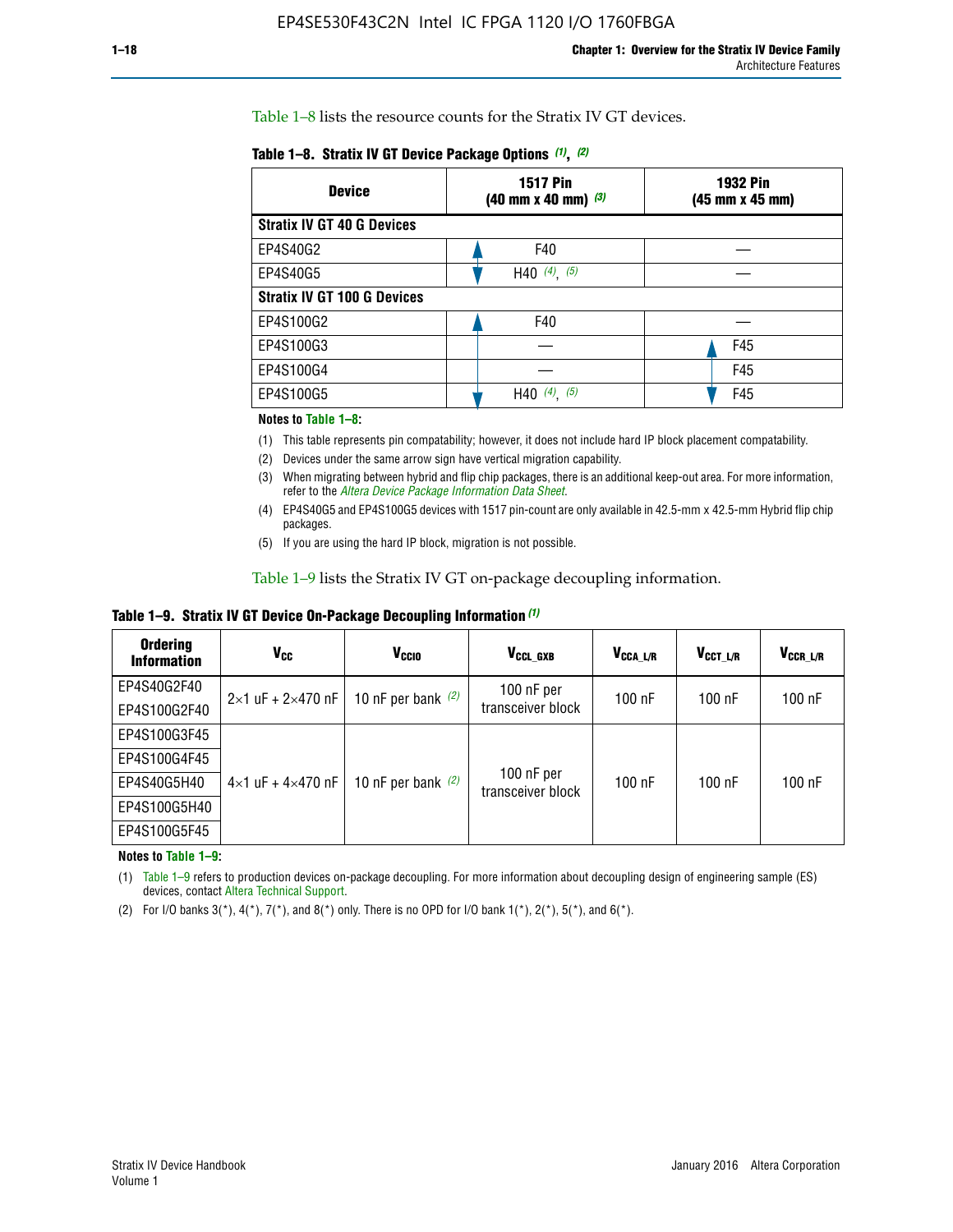Table 1–8 lists the resource counts for the Stratix IV GT devices.

| <b>Device</b>                      | <b>1517 Pin</b><br><b>1932 Pin</b><br>$(40 \text{ mm} \times 40 \text{ mm})$ $(3)$<br>(45 mm x 45 mm) |     |  |
|------------------------------------|-------------------------------------------------------------------------------------------------------|-----|--|
| <b>Stratix IV GT 40 G Devices</b>  |                                                                                                       |     |  |
| EP4S40G2                           | F40                                                                                                   |     |  |
| EP4S40G5                           | H40 $(4)$ , $(5)$                                                                                     |     |  |
| <b>Stratix IV GT 100 G Devices</b> |                                                                                                       |     |  |
| EP4S100G2                          | F40                                                                                                   |     |  |
| EP4S100G3                          |                                                                                                       | F45 |  |
| EP4S100G4                          |                                                                                                       | F45 |  |
| EP4S100G5                          | (5)<br>$(4)$ ,<br>H40                                                                                 | F45 |  |

#### **Notes to Table 1–8:**

(1) This table represents pin compatability; however, it does not include hard IP block placement compatability.

- (2) Devices under the same arrow sign have vertical migration capability.
- (3) When migrating between hybrid and flip chip packages, there is an additional keep-out area. For more information, refer to the *[Altera Device Package Information Data Sheet](http://www.altera.com/literature/ds/dspkg.pdf)*.
- (4) EP4S40G5 and EP4S100G5 devices with 1517 pin-count are only available in 42.5-mm x 42.5-mm Hybrid flip chip packages.
- (5) If you are using the hard IP block, migration is not possible.

Table 1–9 lists the Stratix IV GT on-package decoupling information.

**Table 1–9. Stratix IV GT Device On-Package Decoupling Information** *(1)*

| <b>Ordering</b><br><b>Information</b> | Vcc                                 | <b>V<sub>CCIO</sub></b> | V <sub>CCL GXB</sub>            | V <sub>CCA L/R</sub> | V <sub>CCT L/R</sub> | $V_{CCR\_L/R}$ |
|---------------------------------------|-------------------------------------|-------------------------|---------------------------------|----------------------|----------------------|----------------|
| EP4S40G2F40                           | $2 \times 1$ uF + $2 \times 470$ nF | 10 nF per bank $(2)$    | 100 nF per<br>transceiver block | $100$ nF             | $100$ nF             | $100$ nF       |
| EP4S100G2F40                          |                                     |                         |                                 |                      |                      |                |
| EP4S100G3F45                          |                                     | 10 nF per bank $(2)$    | 100 nF per<br>transceiver block | $100$ nF             | $100$ nF             | $100$ nF       |
| EP4S100G4F45                          |                                     |                         |                                 |                      |                      |                |
| EP4S40G5H40                           | $4\times1$ uF + $4\times470$ nF     |                         |                                 |                      |                      |                |
| EP4S100G5H40                          |                                     |                         |                                 |                      |                      |                |
| EP4S100G5F45                          |                                     |                         |                                 |                      |                      |                |

**Notes to Table 1–9:**

(1) Table 1–9 refers to production devices on-package decoupling. For more information about decoupling design of engineering sample (ES) devices, contact [Altera Technical Support](http://mysupport.altera.com/eservice/login.asp).

(2) For I/O banks  $3(*)$ ,  $4(*)$ ,  $7(*)$ , and  $8(*)$  only. There is no OPD for I/O bank  $1(*)$ ,  $2(*)$ ,  $5(*)$ , and  $6(*)$ .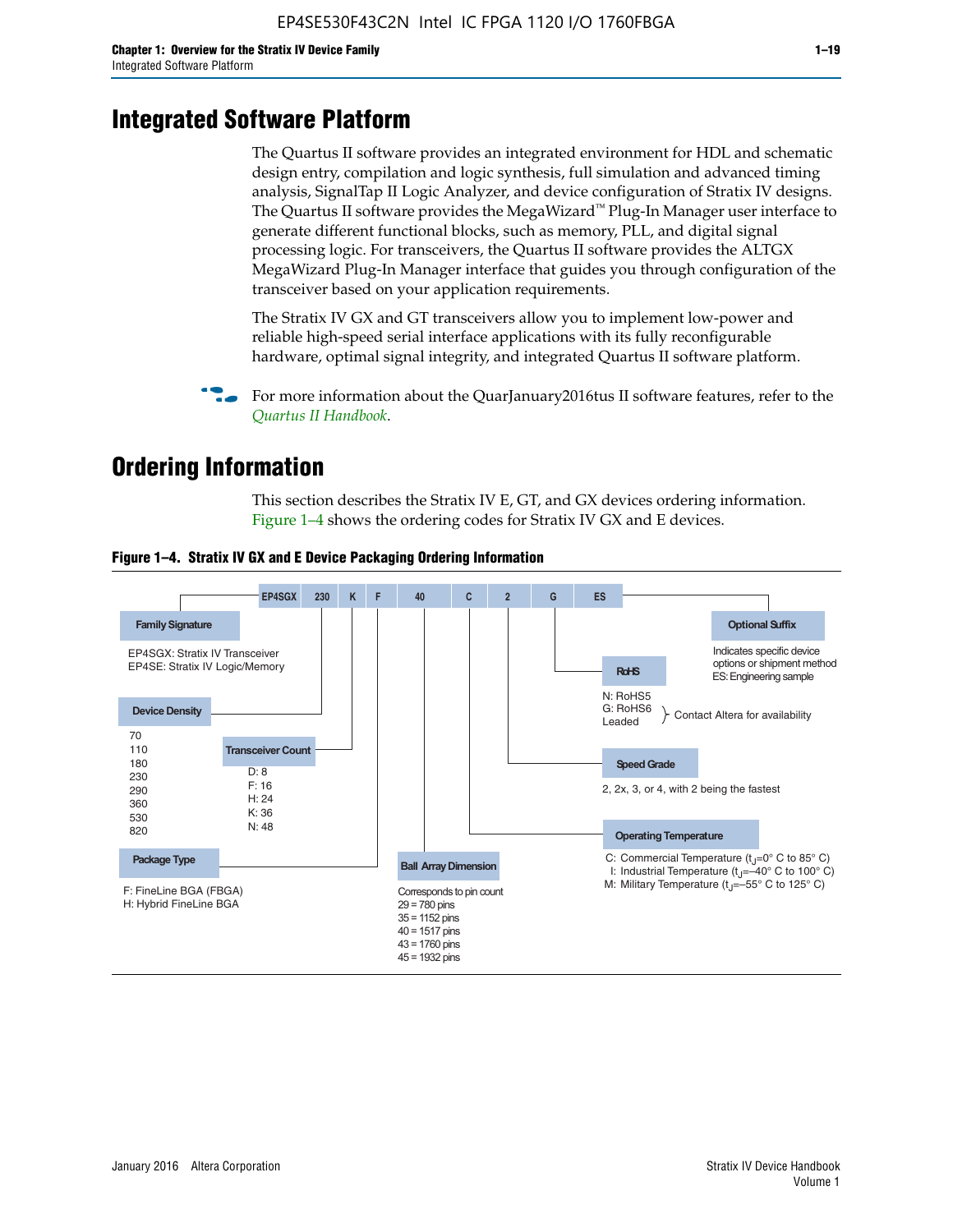# **Integrated Software Platform**

The Quartus II software provides an integrated environment for HDL and schematic design entry, compilation and logic synthesis, full simulation and advanced timing analysis, SignalTap II Logic Analyzer, and device configuration of Stratix IV designs. The Quartus II software provides the MegaWizard<sup> $M$ </sup> Plug-In Manager user interface to generate different functional blocks, such as memory, PLL, and digital signal processing logic. For transceivers, the Quartus II software provides the ALTGX MegaWizard Plug-In Manager interface that guides you through configuration of the transceiver based on your application requirements.

The Stratix IV GX and GT transceivers allow you to implement low-power and reliable high-speed serial interface applications with its fully reconfigurable hardware, optimal signal integrity, and integrated Quartus II software platform.

For more information about the QuarJanuary2016tus II software features, refer to the *[Quartus II Handbook](http://www.altera.com/literature/lit-qts.jsp)*.

# **Ordering Information**

This section describes the Stratix IV E, GT, and GX devices ordering information. Figure 1–4 shows the ordering codes for Stratix IV GX and E devices.



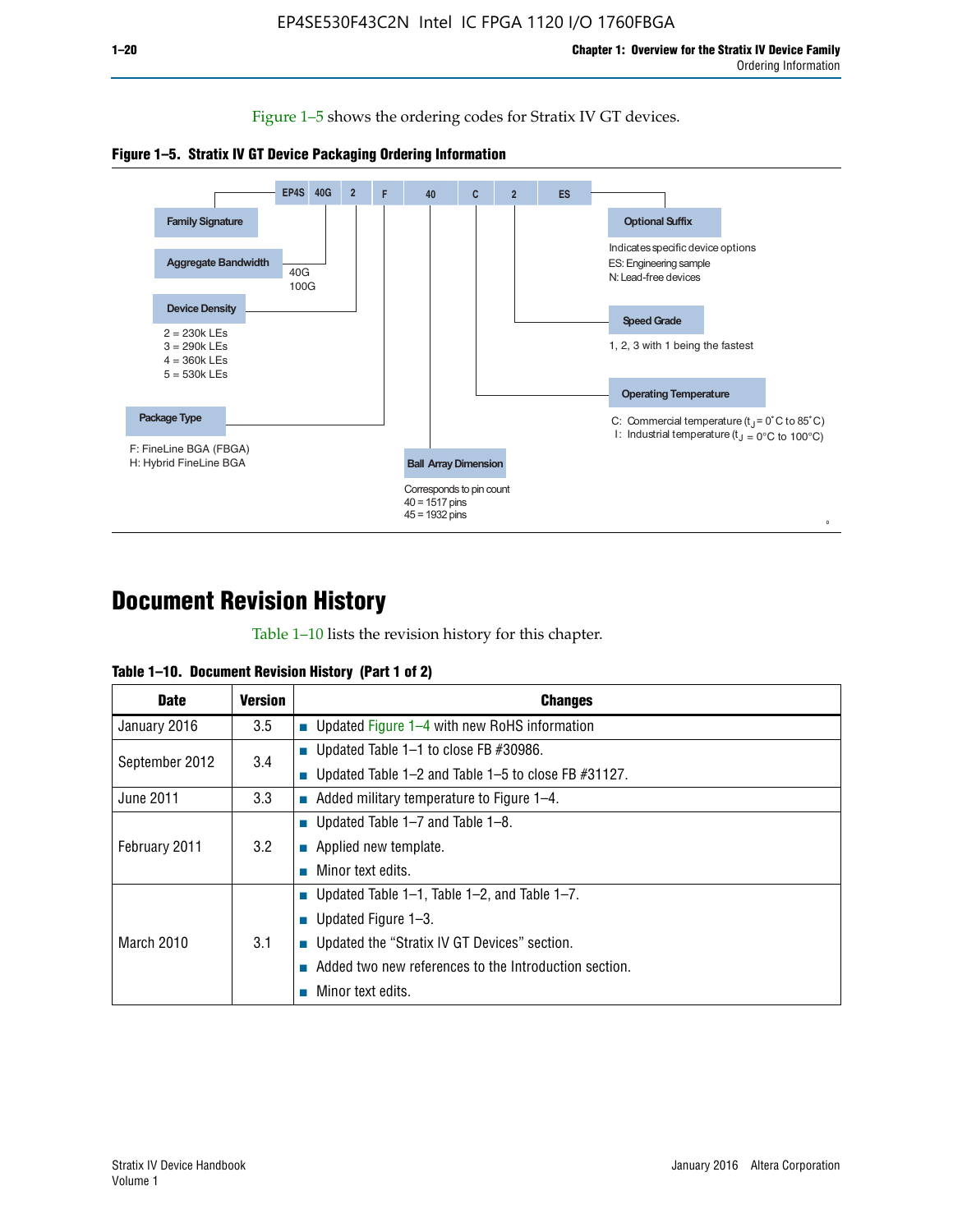Figure 1–5 shows the ordering codes for Stratix IV GT devices.





# **Document Revision History**

Table 1–10 lists the revision history for this chapter.

| Table 1–10. Document Revision History (Part 1 of 2) |  |  |  |  |  |
|-----------------------------------------------------|--|--|--|--|--|
|-----------------------------------------------------|--|--|--|--|--|

| <b>Date</b>       | <b>Version</b> | <b>Changes</b>                                              |
|-------------------|----------------|-------------------------------------------------------------|
| January 2016      | 3.5            | ■ Updated Figure 1–4 with new RoHS information              |
| September 2012    | 3.4            | ■ Updated Table 1–1 to close FB $#30986$ .                  |
|                   |                | Updated Table $1-2$ and Table $1-5$ to close FB $\#31127$ . |
| June 2011         | 3.3            | $\blacksquare$ Added military temperature to Figure 1–4.    |
|                   |                | ■ Updated Table 1–7 and Table 1–8.                          |
| February 2011     | 3.2            | $\blacksquare$ Applied new template.                        |
|                   |                | Minor text edits.                                           |
|                   |                | <b>Updated Table 1–1, Table 1–2, and Table 1–7.</b>         |
| <b>March 2010</b> |                | <b>U</b> Updated Figure 1–3.                                |
|                   | 3.1            | ■ Updated the "Stratix IV GT Devices" section.              |
|                   |                | Added two new references to the Introduction section.       |
|                   |                | Minor text edits.                                           |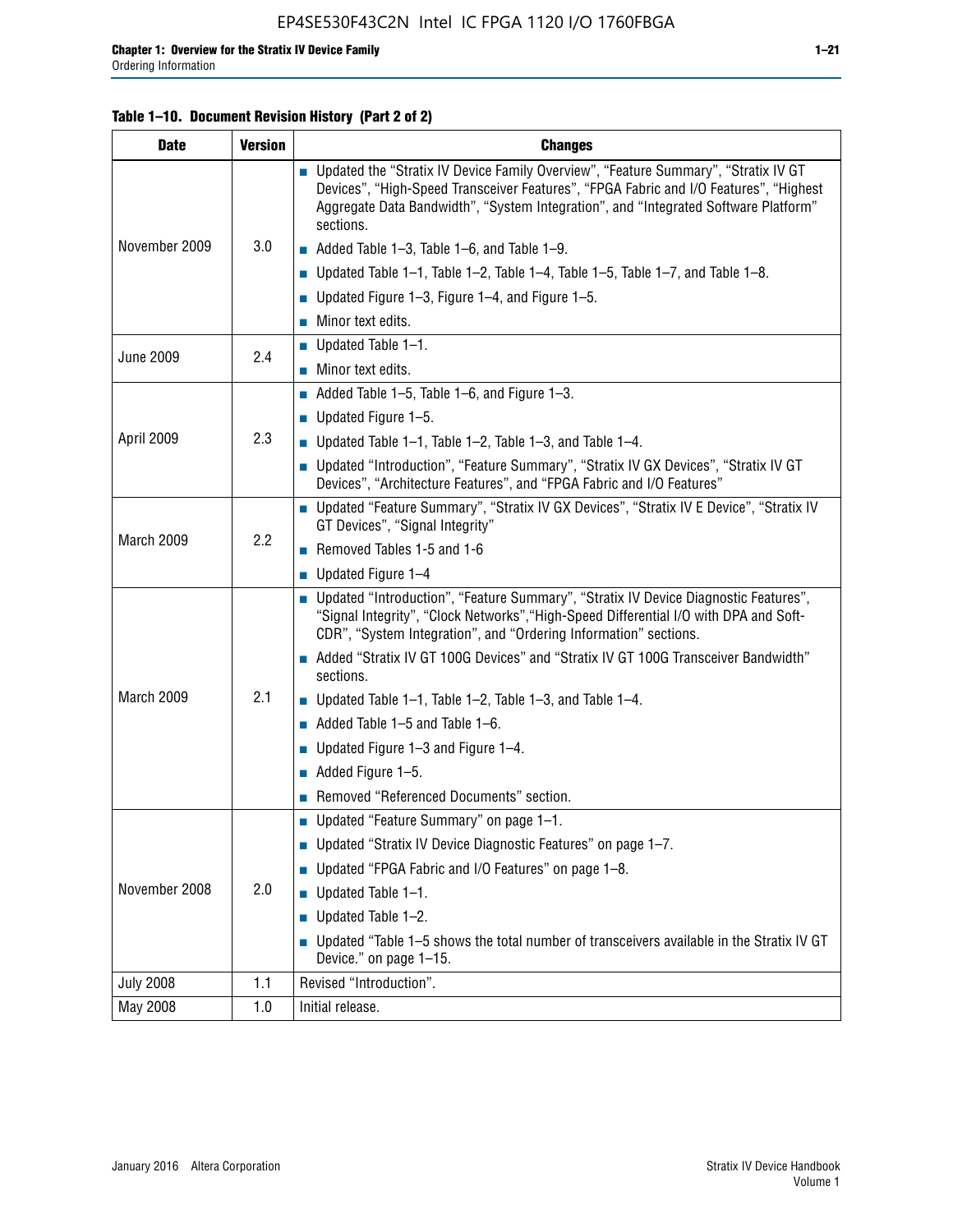#### **Table 1–10. Document Revision History (Part 2 of 2)**

| <b>Date</b>      | <b>Version</b> | <b>Changes</b>                                                                                                                                                                                                                                                                    |  |  |
|------------------|----------------|-----------------------------------------------------------------------------------------------------------------------------------------------------------------------------------------------------------------------------------------------------------------------------------|--|--|
|                  |                | ■ Updated the "Stratix IV Device Family Overview", "Feature Summary", "Stratix IV GT<br>Devices", "High-Speed Transceiver Features", "FPGA Fabric and I/O Features", "Highest<br>Aggregate Data Bandwidth", "System Integration", and "Integrated Software Platform"<br>sections. |  |  |
| November 2009    | 3.0            | $\blacksquare$ Added Table 1-3, Table 1-6, and Table 1-9.                                                                                                                                                                                                                         |  |  |
|                  |                | $\blacksquare$ Updated Table 1-1, Table 1-2, Table 1-4, Table 1-5, Table 1-7, and Table 1-8.                                                                                                                                                                                      |  |  |
|                  |                | ■ Updated Figure 1–3, Figure 1–4, and Figure 1–5.                                                                                                                                                                                                                                 |  |  |
|                  |                | $\blacksquare$ Minor text edits.                                                                                                                                                                                                                                                  |  |  |
|                  | 2.4            | $\blacksquare$ Updated Table 1-1.                                                                                                                                                                                                                                                 |  |  |
| <b>June 2009</b> |                | Minor text edits.                                                                                                                                                                                                                                                                 |  |  |
|                  |                | $\blacksquare$ Added Table 1–5, Table 1–6, and Figure 1–3.                                                                                                                                                                                                                        |  |  |
|                  |                | $\blacksquare$ Updated Figure 1-5.                                                                                                                                                                                                                                                |  |  |
| April 2009       | 2.3            | Updated Table $1-1$ , Table $1-2$ , Table $1-3$ , and Table $1-4$ .                                                                                                                                                                                                               |  |  |
|                  |                | ■ Updated "Introduction", "Feature Summary", "Stratix IV GX Devices", "Stratix IV GT<br>Devices", "Architecture Features", and "FPGA Fabric and I/O Features"                                                                                                                     |  |  |
|                  | 2.2            | ■ Updated "Feature Summary", "Stratix IV GX Devices", "Stratix IV E Device", "Stratix IV<br>GT Devices", "Signal Integrity"                                                                                                                                                       |  |  |
| March 2009       |                | Removed Tables 1-5 and 1-6                                                                                                                                                                                                                                                        |  |  |
|                  |                | Updated Figure 1-4                                                                                                                                                                                                                                                                |  |  |
|                  |                | ■ Updated "Introduction", "Feature Summary", "Stratix IV Device Diagnostic Features",<br>"Signal Integrity", "Clock Networks", "High-Speed Differential I/O with DPA and Soft-<br>CDR", "System Integration", and "Ordering Information" sections.                                |  |  |
|                  |                | Added "Stratix IV GT 100G Devices" and "Stratix IV GT 100G Transceiver Bandwidth"<br>sections.                                                                                                                                                                                    |  |  |
| March 2009       | 2.1            | <b>Updated Table 1–1, Table 1–2, Table 1–3, and Table 1–4.</b>                                                                                                                                                                                                                    |  |  |
|                  |                | $\blacksquare$ Added Table 1-5 and Table 1-6.                                                                                                                                                                                                                                     |  |  |
|                  |                | ■ Updated Figure $1-3$ and Figure $1-4$ .                                                                                                                                                                                                                                         |  |  |
|                  |                | $\blacksquare$ Added Figure 1-5.                                                                                                                                                                                                                                                  |  |  |
|                  |                | Removed "Referenced Documents" section.                                                                                                                                                                                                                                           |  |  |
|                  |                | Updated "Feature Summary" on page 1-1.                                                                                                                                                                                                                                            |  |  |
|                  |                | ■ Updated "Stratix IV Device Diagnostic Features" on page 1-7.                                                                                                                                                                                                                    |  |  |
| November 2008    | 2.0            | Updated "FPGA Fabric and I/O Features" on page 1-8.                                                                                                                                                                                                                               |  |  |
|                  |                | $\blacksquare$ Updated Table 1-1.                                                                                                                                                                                                                                                 |  |  |
|                  |                | Updated Table 1-2.                                                                                                                                                                                                                                                                |  |  |
|                  |                | Updated "Table 1-5 shows the total number of transceivers available in the Stratix IV GT<br>Device." on page 1-15.                                                                                                                                                                |  |  |
| <b>July 2008</b> | 1.1            | Revised "Introduction".                                                                                                                                                                                                                                                           |  |  |
| May 2008         | 1.0            | Initial release.                                                                                                                                                                                                                                                                  |  |  |